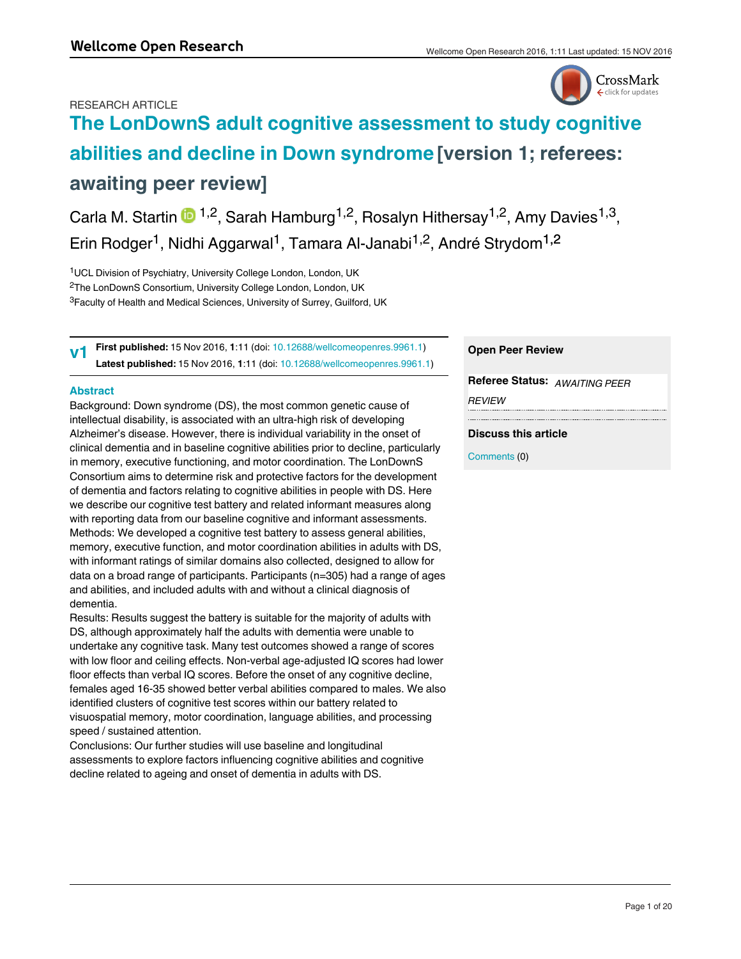# RESEARCH ARTICLE



# **[The LonDownS adult cognitive assessment to study cognitive](https://wellcomeopenresearch.org/articles/1-11/v1) [abilities and decline in Down syndrome](https://wellcomeopenresearch.org/articles/1-11/v1) [version 1; referees: awaiting peer review]**

Carla M. Startin  $\mathbf{D}^{1,2}$ , Sarah Hamburg<sup>1,2</sup>, Rosalyn Hithersay<sup>1,2</sup>, Amy Davies<sup>1,3</sup>, Erin Rodger<sup>1</sup>, Nidhi Aggarwal<sup>1</sup>, Tamara Al-Janabi<sup>1,2</sup>, André Strydom<sup>1,2</sup>

<sup>1</sup>UCL Division of Psychiatry, University College London, London, UK <sup>2</sup>The LonDownS Consortium, University College London, London, UK <sup>3</sup>Faculty of Health and Medical Sciences, University of Surrey, Guilford, UK

**First published:** 15 Nov 2016, **1**:11 (doi: [10.12688/wellcomeopenres.9961.1\)](http://dx.doi.org/10.12688/wellcomeopenres.9961.1) **Latest published:** 15 Nov 2016, **1**:11 (doi: [10.12688/wellcomeopenres.9961.1\)](http://dx.doi.org/10.12688/wellcomeopenres.9961.1) **v1**

# **Abstract**

Background: Down syndrome (DS), the most common genetic cause of intellectual disability, is associated with an ultra-high risk of developing Alzheimer's disease. However, there is individual variability in the onset of clinical dementia and in baseline cognitive abilities prior to decline, particularly in memory, executive functioning, and motor coordination. The LonDownS Consortium aims to determine risk and protective factors for the development of dementia and factors relating to cognitive abilities in people with DS. Here we describe our cognitive test battery and related informant measures along with reporting data from our baseline cognitive and informant assessments. Methods: We developed a cognitive test battery to assess general abilities, memory, executive function, and motor coordination abilities in adults with DS, with informant ratings of similar domains also collected, designed to allow for data on a broad range of participants. Participants (n=305) had a range of ages and abilities, and included adults with and without a clinical diagnosis of dementia.

Results: Results suggest the battery is suitable for the majority of adults with DS, although approximately half the adults with dementia were unable to undertake any cognitive task. Many test outcomes showed a range of scores with low floor and ceiling effects. Non-verbal age-adjusted IQ scores had lower floor effects than verbal IQ scores. Before the onset of any cognitive decline, females aged 16-35 showed better verbal abilities compared to males. We also identified clusters of cognitive test scores within our battery related to visuospatial memory, motor coordination, language abilities, and processing speed / sustained attention.

Conclusions: Our further studies will use baseline and longitudinal assessments to explore factors influencing cognitive abilities and cognitive decline related to ageing and onset of dementia in adults with DS.

# **Open Peer Review**

**Referee Status:** *AWAITING PEER REVIEW*

# **Discuss this article**

Comments (0)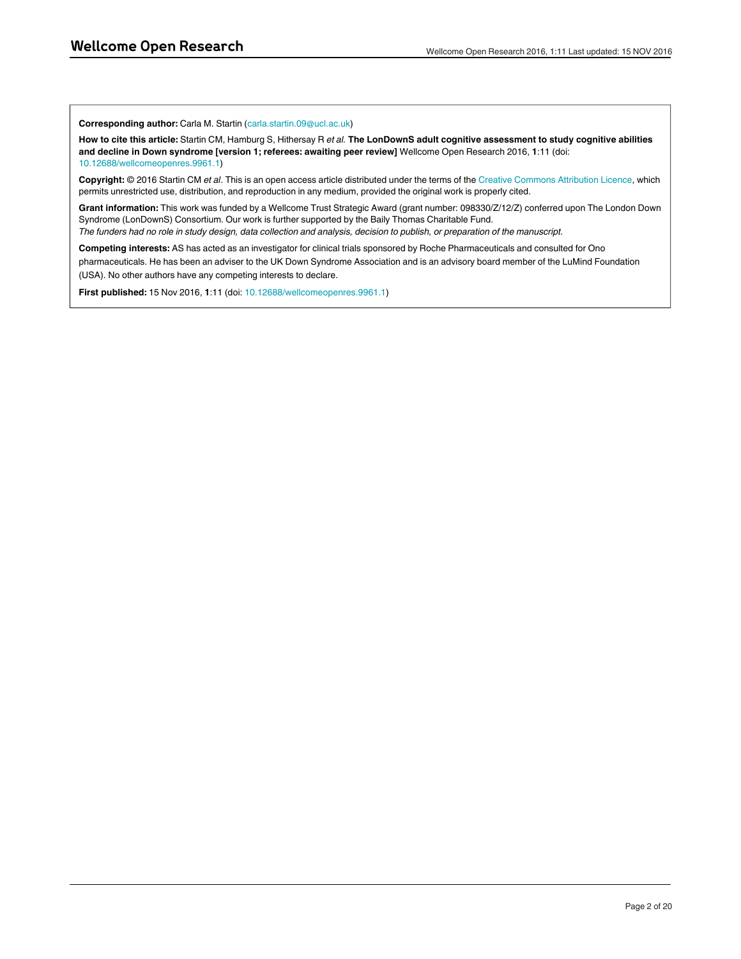**Corresponding author:** Carla M. Startin (carla.startin.09@ucl.ac.uk)

**How to cite this article:** Startin CM, Hamburg S, Hithersay R *et al.* **The LonDownS adult cognitive assessment to study cognitive abilities and decline in Down syndrome [version 1; referees: awaiting peer review]** Wellcome Open Research 2016, **1**:11 (doi: [10.12688/wellcomeopenres.9961.1\)](http://dx.doi.org/10.12688/wellcomeopenres.9961.1)

**Copyright:** © 2016 Startin CM *et al*. This is an open access article distributed under the terms of the [Creative Commons Attribution Licence,](http://creativecommons.org/licenses/by/4.0/) which permits unrestricted use, distribution, and reproduction in any medium, provided the original work is properly cited.

**Grant information:** This work was funded by a Wellcome Trust Strategic Award (grant number: 098330/Z/12/Z) conferred upon The London Down Syndrome (LonDownS) Consortium. Our work is further supported by the Baily Thomas Charitable Fund.

*The funders had no role in study design, data collection and analysis, decision to publish, or preparation of the manuscript.*

**Competing interests:** AS has acted as an investigator for clinical trials sponsored by Roche Pharmaceuticals and consulted for Ono pharmaceuticals. He has been an adviser to the UK Down Syndrome Association and is an advisory board member of the LuMind Foundation (USA). No other authors have any competing interests to declare.

**First published:** 15 Nov 2016, **1**:11 (doi: [10.12688/wellcomeopenres.9961.1\)](http://dx.doi.org/10.12688/wellcomeopenres.9961.1)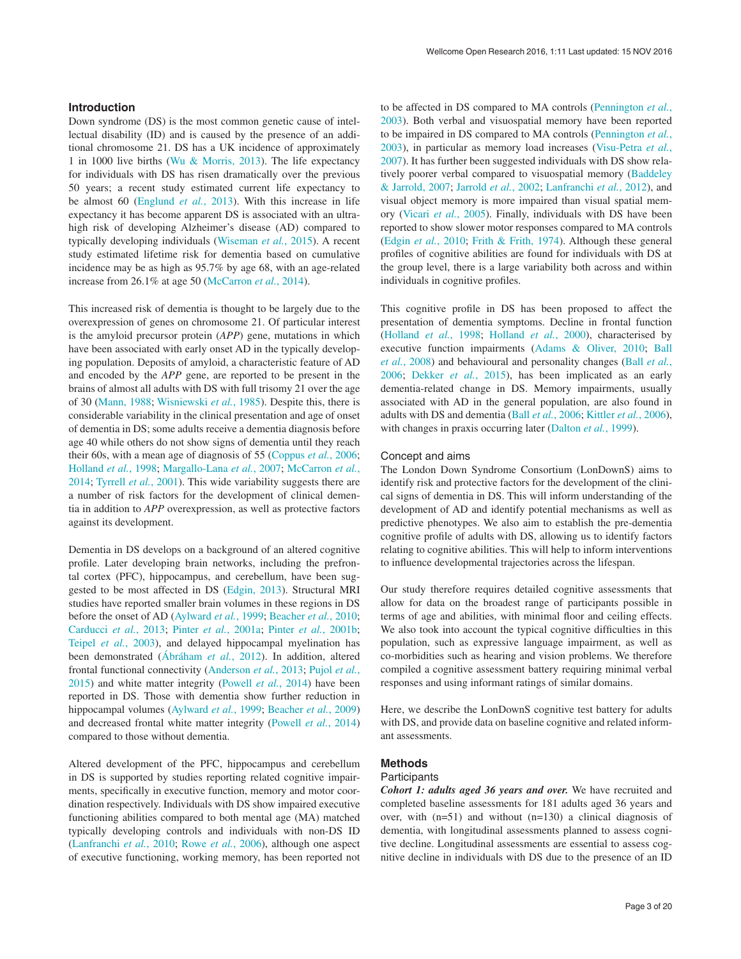# **Introduction**

Down syndrome (DS) is the most common genetic cause of intellectual disability (ID) and is caused by the presence of an additional chromosome 21. DS has a UK incidence of approximately 1 in 1000 live births ([Wu & Morris, 2013\)](#page-19-0). The life expectancy for individuals with DS has risen dramatically over the previous 50 years; a recent study estimated current life expectancy to be almost 60 ([Englund](#page-18-0) *et al.*, 2013). With this increase in life expectancy it has become apparent DS is associated with an ultrahigh risk of developing Alzheimer's disease (AD) compared to typically developing individuals ([Wiseman](#page-19-0) *et al.*, 2015). A recent study estimated lifetime risk for dementia based on cumulative incidence may be as high as 95.7% by age 68, with an age-related increase from 26.1% at age 50 [\(McCarron](#page-19-0) *et al.*, 2014).

This increased risk of dementia is thought to be largely due to the overexpression of genes on chromosome 21. Of particular interest is the amyloid precursor protein (*APP*) gene, mutations in which have been associated with early onset AD in the typically developing population. Deposits of amyloid, a characteristic feature of AD and encoded by the *APP* gene, are reported to be present in the brains of almost all adults with DS with full trisomy 21 over the age of 30 [\(Mann, 1988](#page-19-0); [Wisniewski](#page-19-0) *et al.*, 1985). Despite this, there is considerable variability in the clinical presentation and age of onset of dementia in DS; some adults receive a dementia diagnosis before age 40 while others do not show signs of dementia until they reach their 60s, with a mean age of diagnosis of 55 ([Coppus](#page-18-0) *et al.*, 2006; [Holland](#page-18-0) *et al.*, 1998; [Margallo-Lana](#page-19-0) *et al.*, 2007; [McCarron](#page-19-0) *et al.*, [2014;](#page-19-0) [Tyrrell](#page-19-0) *et al.*, 2001). This wide variability suggests there are a number of risk factors for the development of clinical dementia in addition to *APP* overexpression, as well as protective factors against its development.

Dementia in DS develops on a background of an altered cognitive profile. Later developing brain networks, including the prefrontal cortex (PFC), hippocampus, and cerebellum, have been suggested to be most affected in DS ([Edgin, 2013\)](#page-18-0). Structural MRI studies have reported smaller brain volumes in these regions in DS before the onset of AD [\(Aylward](#page-18-0) *et al.*, 1999; [Beacher](#page-18-0) *et al.*, 2010; [Carducci](#page-18-0) *et al.*, 2013; Pinter *et al.*[, 2001a;](#page-19-0) Pinter *et al.*[, 2001b](#page-19-0); Teipel *et al.*[, 2003](#page-19-0)), and delayed hippocampal myelination has been demonstrated ([Ábráham](#page-18-0) *et al.*, 2012). In addition, altered frontal functional connectivity [\(Anderson](#page-18-0) *et al.*, 2013; [Pujol](#page-19-0) *et al.*, [2015\)](#page-19-0) and white matter integrity ([Powell](#page-19-0) *et al.*, 2014) have been reported in DS. Those with dementia show further reduction in hippocampal volumes ([Aylward](#page-18-0) *et al.*, 1999; [Beacher](#page-18-0) *et al.*, 2009) and decreased frontal white matter integrity [\(Powell](#page-19-0) *et al.*, 2014) compared to those without dementia.

Altered development of the PFC, hippocampus and cerebellum in DS is supported by studies reporting related cognitive impairments, specifically in executive function, memory and motor coordination respectively. Individuals with DS show impaired executive functioning abilities compared to both mental age (MA) matched typically developing controls and individuals with non-DS ID ([Lanfranchi](#page-18-0) *et al.*, 2010; Rowe *et al.*[, 2006](#page-19-0)), although one aspect of executive functioning, working memory, has been reported not

to be affected in DS compared to MA controls [\(Pennington](#page-19-0) *et al.*, [2003\)](#page-19-0). Both verbal and visuospatial memory have been reported to be impaired in DS compared to MA controls ([Pennington](#page-19-0) *et al.*, [2003\)](#page-19-0), in particular as memory load increases ([Visu-Petra](#page-19-0) *et al.*, [2007\)](#page-19-0). It has further been suggested individuals with DS show relatively poorer verbal compared to visuospatial memory ([Baddeley](#page-18-0)  [& Jarrold, 2007](#page-18-0); [Jarrold](#page-18-0) *et al.*, 2002; [Lanfranchi](#page-18-0) *et al.*, 2012), and visual object memory is more impaired than visual spatial memory [\(Vicari](#page-19-0) *et al.*, 2005). Finally, individuals with DS have been reported to show slower motor responses compared to MA controls (Edgin *et al.*[, 2010;](#page-18-0) [Frith & Frith, 1974](#page-18-0)). Although these general profiles of cognitive abilities are found for individuals with DS at the group level, there is a large variability both across and within individuals in cognitive profiles.

This cognitive profile in DS has been proposed to affect the presentation of dementia symptoms. Decline in frontal function ([Holland](#page-18-0) *et al.*, 1998; [Holland](#page-18-0) *et al.*, 2000), characterised by executive function impairments [\(Adams & Oliver, 2010;](#page-18-0) [Ball](#page-18-0) *et al.*[, 2008](#page-18-0)) and behavioural and personality changes (Ball *[et al.](#page-18-0)*, [2006;](#page-18-0) [Dekker](#page-18-0) *et al.*, 2015), has been implicated as an early dementia-related change in DS. Memory impairments, usually associated with AD in the general population, are also found in adults with DS and dementia (Ball *et al.*[, 2006](#page-18-0); [Kittler](#page-18-0) *et al.*, 2006), with changes in praxis occurring later ([Dalton](#page-18-0) *et al.*, 1999).

### Concept and aims

The London Down Syndrome Consortium (LonDownS) aims to identify risk and protective factors for the development of the clinical signs of dementia in DS. This will inform understanding of the development of AD and identify potential mechanisms as well as predictive phenotypes. We also aim to establish the pre-dementia cognitive profile of adults with DS, allowing us to identify factors relating to cognitive abilities. This will help to inform interventions to influence developmental trajectories across the lifespan.

Our study therefore requires detailed cognitive assessments that allow for data on the broadest range of participants possible in terms of age and abilities, with minimal floor and ceiling effects. We also took into account the typical cognitive difficulties in this population, such as expressive language impairment, as well as co-morbidities such as hearing and vision problems. We therefore compiled a cognitive assessment battery requiring minimal verbal responses and using informant ratings of similar domains.

Here, we describe the LonDownS cognitive test battery for adults with DS, and provide data on baseline cognitive and related informant assessments.

# **Methods**

# **Participants**

*Cohort 1: adults aged 36 years and over.* We have recruited and completed baseline assessments for 181 adults aged 36 years and over, with (n=51) and without (n=130) a clinical diagnosis of dementia, with longitudinal assessments planned to assess cognitive decline. Longitudinal assessments are essential to assess cognitive decline in individuals with DS due to the presence of an ID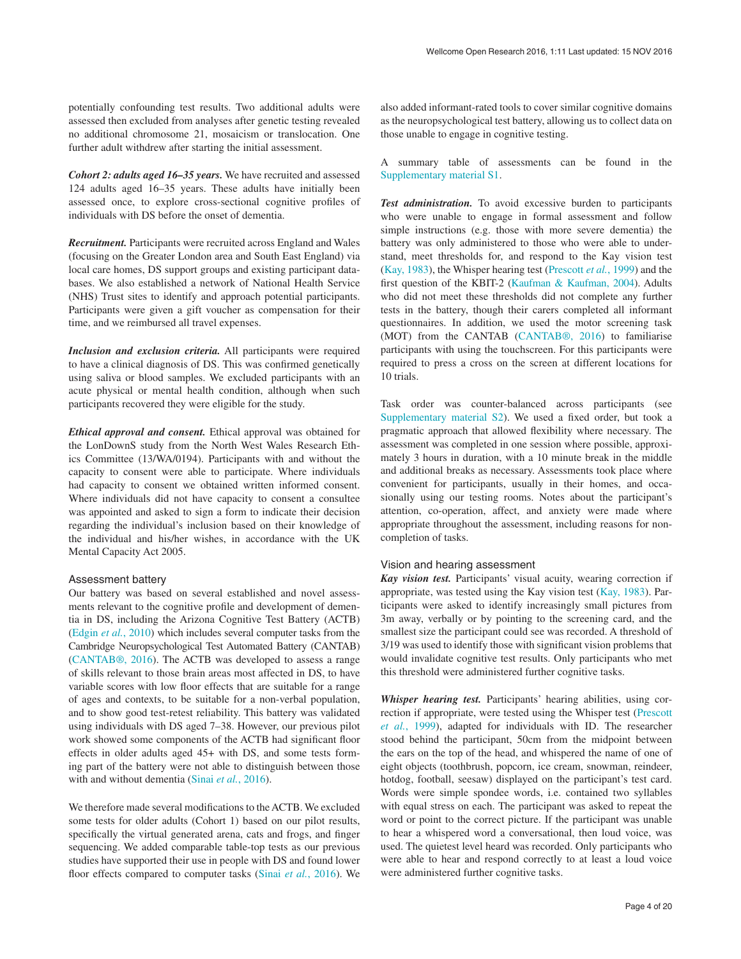potentially confounding test results. Two additional adults were assessed then excluded from analyses after genetic testing revealed no additional chromosome 21, mosaicism or translocation. One further adult withdrew after starting the initial assessment.

*Cohort 2: adults aged 16–35 years.* We have recruited and assessed 124 adults aged 16–35 years. These adults have initially been assessed once, to explore cross-sectional cognitive profiles of individuals with DS before the onset of dementia.

*Recruitment.* Participants were recruited across England and Wales (focusing on the Greater London area and South East England) via local care homes, DS support groups and existing participant databases. We also established a network of National Health Service (NHS) Trust sites to identify and approach potential participants. Participants were given a gift voucher as compensation for their time, and we reimbursed all travel expenses.

*Inclusion and exclusion criteria.* All participants were required to have a clinical diagnosis of DS. This was confirmed genetically using saliva or blood samples. We excluded participants with an acute physical or mental health condition, although when such participants recovered they were eligible for the study.

*Ethical approval and consent.* Ethical approval was obtained for the LonDownS study from the North West Wales Research Ethics Committee (13/WA/0194). Participants with and without the capacity to consent were able to participate. Where individuals had capacity to consent we obtained written informed consent. Where individuals did not have capacity to consent a consultee was appointed and asked to sign a form to indicate their decision regarding the individual's inclusion based on their knowledge of the individual and his/her wishes, in accordance with the UK Mental Capacity Act 2005.

# Assessment battery

Our battery was based on several established and novel assessments relevant to the cognitive profile and development of dementia in DS, including the Arizona Cognitive Test Battery (ACTB) ([Edgin](#page-18-0) *et al.*, 2010) which includes several computer tasks from the Cambridge Neuropsychological Test Automated Battery (CANTAB) ([CANTAB®, 2016](#page-18-0)). The ACTB was developed to assess a range of skills relevant to those brain areas most affected in DS, to have variable scores with low floor effects that are suitable for a range of ages and contexts, to be suitable for a non-verbal population, and to show good test-retest reliability. This battery was validated using individuals with DS aged 7–38. However, our previous pilot work showed some components of the ACTB had significant floor effects in older adults aged 45+ with DS, and some tests forming part of the battery were not able to distinguish between those with and without dementia (Sinai *et al.*[, 2016](#page-19-0)).

We therefore made several modifications to the ACTB. We excluded some tests for older adults (Cohort 1) based on our pilot results, specifically the virtual generated arena, cats and frogs, and finger sequencing. We added comparable table-top tests as our previous studies have supported their use in people with DS and found lower floor effects compared to computer tasks (Sinai *et al.*[, 2016\)](#page-19-0). We

also added informant-rated tools to cover similar cognitive domains as the neuropsychological test battery, allowing us to collect data on those unable to engage in cognitive testing.

A summary table of assessments can be found in the [Supplementary material S1.](#page-17-0)

*Test administration.* To avoid excessive burden to participants who were unable to engage in formal assessment and follow simple instructions (e.g. those with more severe dementia) the battery was only administered to those who were able to understand, meet thresholds for, and respond to the Kay vision test ([Kay, 1983](#page-18-0)), the Whisper hearing test [\(Prescott](#page-19-0) *et al.*, 1999) and the first question of the KBIT-2 ([Kaufman & Kaufman, 2004](#page-18-0)). Adults who did not meet these thresholds did not complete any further tests in the battery, though their carers completed all informant questionnaires. In addition, we used the motor screening task (MOT) from the CANTAB ([CANTAB®, 2016\)](#page-18-0) to familiarise participants with using the touchscreen. For this participants were required to press a cross on the screen at different locations for 10 trials.

Task order was counter-balanced across participants (see [Supplementary material S2](#page-17-0)). We used a fixed order, but took a pragmatic approach that allowed flexibility where necessary. The assessment was completed in one session where possible, approximately 3 hours in duration, with a 10 minute break in the middle and additional breaks as necessary. Assessments took place where convenient for participants, usually in their homes, and occasionally using our testing rooms. Notes about the participant's attention, co-operation, affect, and anxiety were made where appropriate throughout the assessment, including reasons for noncompletion of tasks.

# Vision and hearing assessment

*Kay vision test.* Participants' visual acuity, wearing correction if appropriate, was tested using the Kay vision test ([Kay, 1983](#page-18-0)). Participants were asked to identify increasingly small pictures from 3m away, verbally or by pointing to the screening card, and the smallest size the participant could see was recorded. A threshold of 3/19 was used to identify those with significant vision problems that would invalidate cognitive test results. Only participants who met this threshold were administered further cognitive tasks.

*Whisper hearing test.* Participants' hearing abilities, using correction if appropriate, were tested using the Whisper test ([Prescott](#page-19-0) *et al.*[, 1999](#page-19-0)), adapted for individuals with ID. The researcher stood behind the participant, 50cm from the midpoint between the ears on the top of the head, and whispered the name of one of eight objects (toothbrush, popcorn, ice cream, snowman, reindeer, hotdog, football, seesaw) displayed on the participant's test card. Words were simple spondee words, i.e. contained two syllables with equal stress on each. The participant was asked to repeat the word or point to the correct picture. If the participant was unable to hear a whispered word a conversational, then loud voice, was used. The quietest level heard was recorded. Only participants who were able to hear and respond correctly to at least a loud voice were administered further cognitive tasks.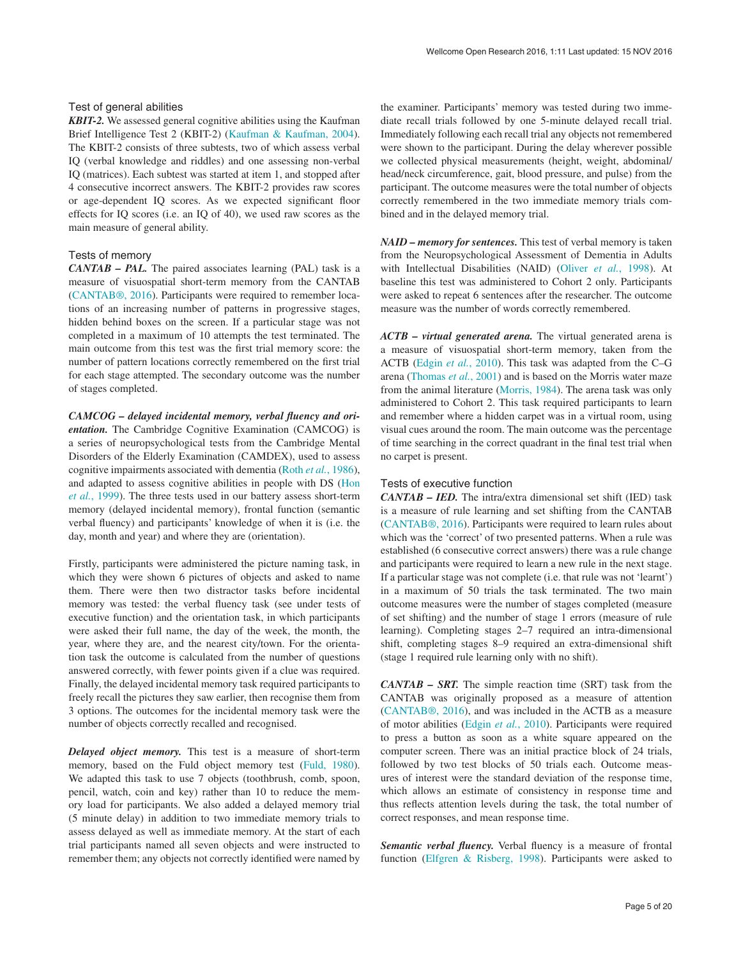# Test of general abilities

*KBIT-2.* We assessed general cognitive abilities using the Kaufman Brief Intelligence Test 2 (KBIT-2) ([Kaufman & Kaufman, 2004](#page-18-0)). The KBIT-2 consists of three subtests, two of which assess verbal IQ (verbal knowledge and riddles) and one assessing non-verbal IQ (matrices). Each subtest was started at item 1, and stopped after 4 consecutive incorrect answers. The KBIT-2 provides raw scores or age-dependent IQ scores. As we expected significant floor effects for IQ scores (i.e. an IQ of 40), we used raw scores as the main measure of general ability.

# Tests of memory

*CANTAB – PAL.* The paired associates learning (PAL) task is a measure of visuospatial short-term memory from the CANTAB ([CANTAB®, 2016\)](#page-18-0). Participants were required to remember locations of an increasing number of patterns in progressive stages, hidden behind boxes on the screen. If a particular stage was not completed in a maximum of 10 attempts the test terminated. The main outcome from this test was the first trial memory score: the number of pattern locations correctly remembered on the first trial for each stage attempted. The secondary outcome was the number of stages completed.

*CAMCOG – delayed incidental memory, verbal fluency and orientation.* The Cambridge Cognitive Examination (CAMCOG) is a series of neuropsychological tests from the Cambridge Mental Disorders of the Elderly Examination (CAMDEX), used to assess cognitive impairments associated with dementia (Roth *et al.*[, 1986](#page-19-0)), and adapted to assess cognitive abilities in people with DS [\(Hon](#page-18-0)  *et al.*[, 1999](#page-18-0)). The three tests used in our battery assess short-term memory (delayed incidental memory), frontal function (semantic verbal fluency) and participants' knowledge of when it is (i.e. the day, month and year) and where they are (orientation).

Firstly, participants were administered the picture naming task, in which they were shown 6 pictures of objects and asked to name them. There were then two distractor tasks before incidental memory was tested: the verbal fluency task (see under tests of executive function) and the orientation task, in which participants were asked their full name, the day of the week, the month, the year, where they are, and the nearest city/town. For the orientation task the outcome is calculated from the number of questions answered correctly, with fewer points given if a clue was required. Finally, the delayed incidental memory task required participants to freely recall the pictures they saw earlier, then recognise them from 3 options. The outcomes for the incidental memory task were the number of objects correctly recalled and recognised.

*Delayed object memory.* This test is a measure of short-term memory, based on the Fuld object memory test ([Fuld, 1980](#page-18-0)). We adapted this task to use 7 objects (toothbrush, comb, spoon, pencil, watch, coin and key) rather than 10 to reduce the memory load for participants. We also added a delayed memory trial (5 minute delay) in addition to two immediate memory trials to assess delayed as well as immediate memory. At the start of each trial participants named all seven objects and were instructed to remember them; any objects not correctly identified were named by

the examiner. Participants' memory was tested during two immediate recall trials followed by one 5-minute delayed recall trial. Immediately following each recall trial any objects not remembered were shown to the participant. During the delay wherever possible we collected physical measurements (height, weight, abdominal/ head/neck circumference, gait, blood pressure, and pulse) from the participant. The outcome measures were the total number of objects correctly remembered in the two immediate memory trials combined and in the delayed memory trial.

*NAID – memory for sentences.* This test of verbal memory is taken from the Neuropsychological Assessment of Dementia in Adults with Intellectual Disabilities (NAID) (Oliver *et al.*[, 1998\)](#page-19-0). At baseline this test was administered to Cohort 2 only. Participants were asked to repeat 6 sentences after the researcher. The outcome measure was the number of words correctly remembered.

*ACTB – virtual generated arena.* The virtual generated arena is a measure of visuospatial short-term memory, taken from the ACTB [\(Edgin](#page-18-0) *et al.*, 2010). This task was adapted from the C–G arena [\(Thomas](#page-19-0) *et al.*, 2001) and is based on the Morris water maze from the animal literature [\(Morris, 1984](#page-19-0)). The arena task was only administered to Cohort 2. This task required participants to learn and remember where a hidden carpet was in a virtual room, using visual cues around the room. The main outcome was the percentage of time searching in the correct quadrant in the final test trial when no carpet is present.

# Tests of executive function

*CANTAB – IED.* The intra/extra dimensional set shift (IED) task is a measure of rule learning and set shifting from the CANTAB ([CANTAB®, 2016](#page-18-0)). Participants were required to learn rules about which was the 'correct' of two presented patterns. When a rule was established (6 consecutive correct answers) there was a rule change and participants were required to learn a new rule in the next stage. If a particular stage was not complete (i.e. that rule was not 'learnt') in a maximum of 50 trials the task terminated. The two main outcome measures were the number of stages completed (measure of set shifting) and the number of stage 1 errors (measure of rule learning). Completing stages 2–7 required an intra-dimensional shift, completing stages 8–9 required an extra-dimensional shift (stage 1 required rule learning only with no shift).

*CANTAB – SRT.* The simple reaction time (SRT) task from the CANTAB was originally proposed as a measure of attention ([CANTAB®, 2016\)](#page-18-0), and was included in the ACTB as a measure of motor abilities [\(Edgin](#page-18-0) *et al.*, 2010). Participants were required to press a button as soon as a white square appeared on the computer screen. There was an initial practice block of 24 trials, followed by two test blocks of 50 trials each. Outcome measures of interest were the standard deviation of the response time, which allows an estimate of consistency in response time and thus reflects attention levels during the task, the total number of correct responses, and mean response time.

*Semantic verbal fluency.* Verbal fluency is a measure of frontal function ([Elfgren & Risberg, 1998](#page-18-0)). Participants were asked to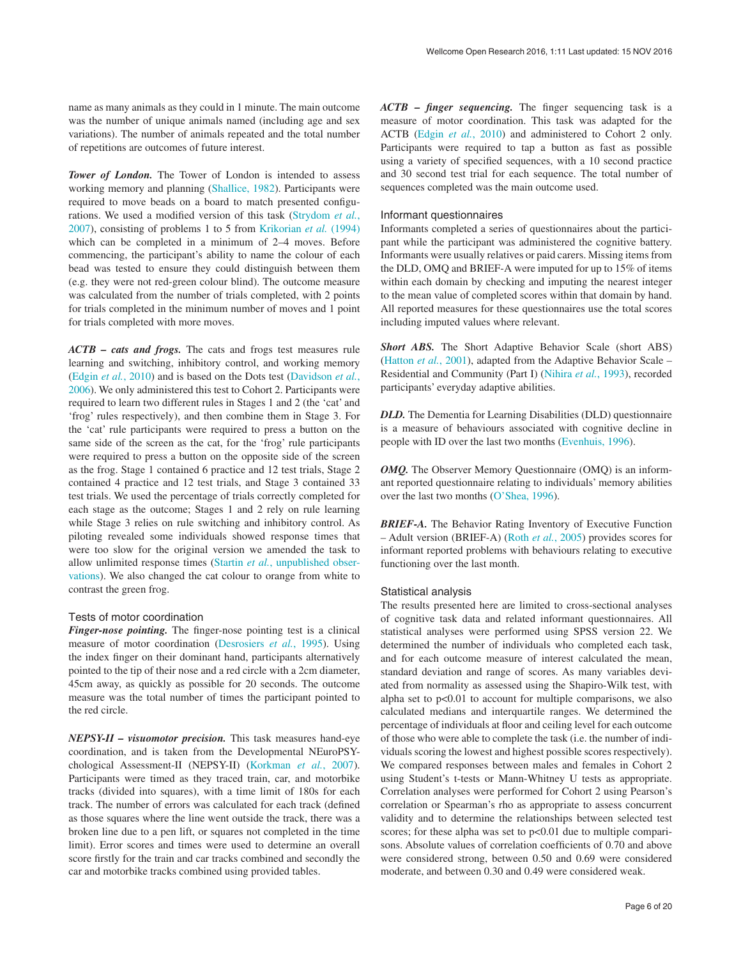name as many animals as they could in 1 minute. The main outcome was the number of unique animals named (including age and sex variations). The number of animals repeated and the total number of repetitions are outcomes of future interest.

*Tower of London.* The Tower of London is intended to assess working memory and planning [\(Shallice, 1982](#page-19-0)). Participants were required to move beads on a board to match presented configurations. We used a modified version of this task ([Strydom](#page-19-0) *et al.*, [2007\)](#page-19-0), consisting of problems 1 to 5 from [Krikorian](#page-18-0) *et al.* (1994) which can be completed in a minimum of 2–4 moves. Before commencing, the participant's ability to name the colour of each bead was tested to ensure they could distinguish between them (e.g. they were not red-green colour blind). The outcome measure was calculated from the number of trials completed, with 2 points for trials completed in the minimum number of moves and 1 point for trials completed with more moves.

*ACTB – cats and frogs.* The cats and frogs test measures rule learning and switching, inhibitory control, and working memory ([Edgin](#page-18-0) *et al.*, 2010) and is based on the Dots test [\(Davidson](#page-18-0) *et al.*, [2006\)](#page-18-0). We only administered this test to Cohort 2. Participants were required to learn two different rules in Stages 1 and 2 (the 'cat' and 'frog' rules respectively), and then combine them in Stage 3. For the 'cat' rule participants were required to press a button on the same side of the screen as the cat, for the 'frog' rule participants were required to press a button on the opposite side of the screen as the frog. Stage 1 contained 6 practice and 12 test trials, Stage 2 contained 4 practice and 12 test trials, and Stage 3 contained 33 test trials. We used the percentage of trials correctly completed for each stage as the outcome; Stages 1 and 2 rely on rule learning while Stage 3 relies on rule switching and inhibitory control. As piloting revealed some individuals showed response times that were too slow for the original version we amended the task to allow unlimited response times (Startin *et al.*[, unpublished obser](#page-19-0)[vations](#page-19-0)). We also changed the cat colour to orange from white to contrast the green frog.

# Tests of motor coordination

*Finger-nose pointing.* The finger-nose pointing test is a clinical measure of motor coordination ([Desrosiers](#page-18-0) *et al.*, 1995). Using the index finger on their dominant hand, participants alternatively pointed to the tip of their nose and a red circle with a 2cm diameter, 45cm away, as quickly as possible for 20 seconds. The outcome measure was the total number of times the participant pointed to the red circle.

*NEPSY-II – visuomotor precision.* This task measures hand-eye coordination, and is taken from the Developmental NEuroPSYchological Assessment-II (NEPSY-II) ([Korkman](#page-18-0) *et al.*, 2007). Participants were timed as they traced train, car, and motorbike tracks (divided into squares), with a time limit of 180s for each track. The number of errors was calculated for each track (defined as those squares where the line went outside the track, there was a broken line due to a pen lift, or squares not completed in the time limit). Error scores and times were used to determine an overall score firstly for the train and car tracks combined and secondly the car and motorbike tracks combined using provided tables.

*ACTB – finger sequencing.* The finger sequencing task is a measure of motor coordination. This task was adapted for the ACTB (Edgin *et al.*[, 2010\)](#page-18-0) and administered to Cohort 2 only. Participants were required to tap a button as fast as possible using a variety of specified sequences, with a 10 second practice and 30 second test trial for each sequence. The total number of sequences completed was the main outcome used.

### Informant questionnaires

Informants completed a series of questionnaires about the participant while the participant was administered the cognitive battery. Informants were usually relatives or paid carers. Missing items from the DLD, OMQ and BRIEF-A were imputed for up to 15% of items within each domain by checking and imputing the nearest integer to the mean value of completed scores within that domain by hand. All reported measures for these questionnaires use the total scores including imputed values where relevant.

*Short ABS.* The Short Adaptive Behavior Scale (short ABS) ([Hatton](#page-18-0) *et al.*, 2001), adapted from the Adaptive Behavior Scale – Residential and Community (Part I) ([Nihira](#page-19-0) *et al.*, 1993), recorded participants' everyday adaptive abilities.

*DLD.* The Dementia for Learning Disabilities (DLD) questionnaire is a measure of behaviours associated with cognitive decline in people with ID over the last two months [\(Evenhuis, 1996](#page-18-0)).

*OMQ.* The Observer Memory Questionnaire (OMQ) is an informant reported questionnaire relating to individuals' memory abilities over the last two months [\(O'Shea, 1996\)](#page-19-0).

*BRIEF-A.* The Behavior Rating Inventory of Executive Function – Adult version (BRIEF-A) (Roth *et al.*[, 2005](#page-19-0)) provides scores for informant reported problems with behaviours relating to executive functioning over the last month.

# Statistical analysis

The results presented here are limited to cross-sectional analyses of cognitive task data and related informant questionnaires. All statistical analyses were performed using SPSS version 22. We determined the number of individuals who completed each task, and for each outcome measure of interest calculated the mean, standard deviation and range of scores. As many variables deviated from normality as assessed using the Shapiro-Wilk test, with alpha set to p<0.01 to account for multiple comparisons, we also calculated medians and interquartile ranges. We determined the percentage of individuals at floor and ceiling level for each outcome of those who were able to complete the task (i.e. the number of individuals scoring the lowest and highest possible scores respectively). We compared responses between males and females in Cohort 2 using Student's t-tests or Mann-Whitney U tests as appropriate. Correlation analyses were performed for Cohort 2 using Pearson's correlation or Spearman's rho as appropriate to assess concurrent validity and to determine the relationships between selected test scores; for these alpha was set to p<0.01 due to multiple comparisons. Absolute values of correlation coefficients of 0.70 and above were considered strong, between 0.50 and 0.69 were considered moderate, and between 0.30 and 0.49 were considered weak.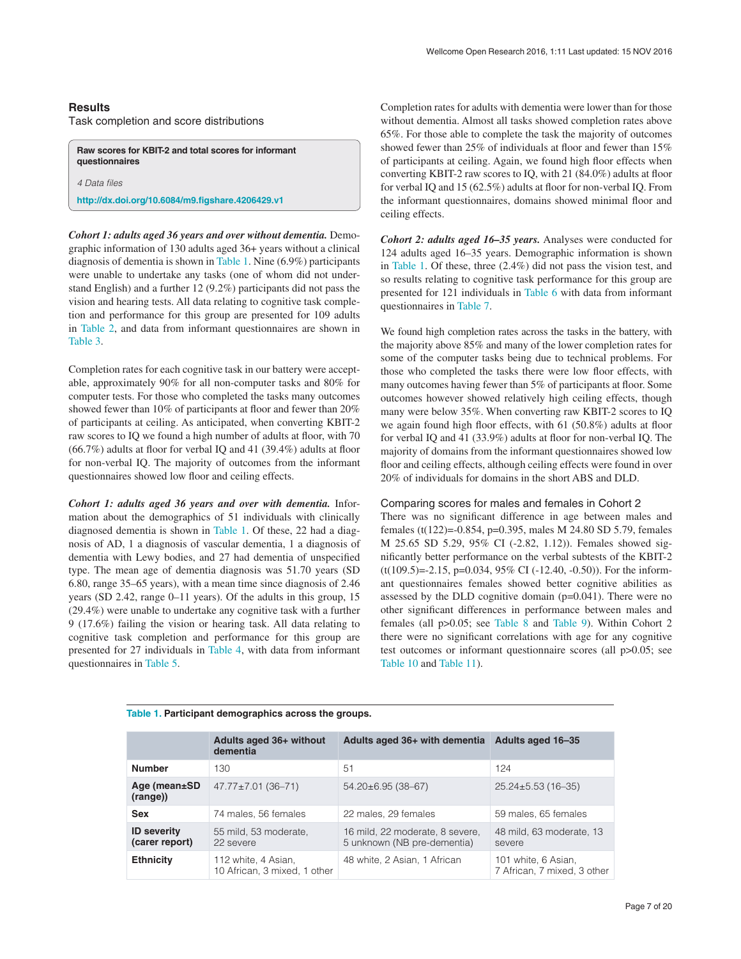# **Results**

*4 Data files*

Task completion and score distributions

**Raw scores for KBIT-2 and total scores for informant questionnaires**

**<http://dx.doi.org/10.6084/m9.figshare.4206429.v1>**

*Cohort 1: adults aged 36 years and over without dementia.* Demographic information of 130 adults aged 36+ years without a clinical diagnosis of dementia is shown in Table 1. Nine (6.9%) participants were unable to undertake any tasks (one of whom did not understand English) and a further 12 (9.2%) participants did not pass the vision and hearing tests. All data relating to cognitive task completion and performance for this group are presented for 109 adults in [Table 2](#page-7-0), and data from informant questionnaires are shown in [Table 3](#page-8-0).

Completion rates for each cognitive task in our battery were acceptable, approximately 90% for all non-computer tasks and 80% for computer tests. For those who completed the tasks many outcomes showed fewer than 10% of participants at floor and fewer than 20% of participants at ceiling. As anticipated, when converting KBIT-2 raw scores to IQ we found a high number of adults at floor, with 70 (66.7%) adults at floor for verbal IQ and 41 (39.4%) adults at floor for non-verbal IQ. The majority of outcomes from the informant questionnaires showed low floor and ceiling effects.

*Cohort 1: adults aged 36 years and over with dementia.* Information about the demographics of 51 individuals with clinically diagnosed dementia is shown in Table 1. Of these, 22 had a diagnosis of AD, 1 a diagnosis of vascular dementia, 1 a diagnosis of dementia with Lewy bodies, and 27 had dementia of unspecified type. The mean age of dementia diagnosis was 51.70 years (SD 6.80, range 35–65 years), with a mean time since diagnosis of 2.46 years (SD 2.42, range 0–11 years). Of the adults in this group, 15 (29.4%) were unable to undertake any cognitive task with a further 9 (17.6%) failing the vision or hearing task. All data relating to cognitive task completion and performance for this group are presented for 27 individuals in [Table 4](#page-9-0), with data from informant questionnaires in [Table 5.](#page-10-0)

Completion rates for adults with dementia were lower than for those without dementia. Almost all tasks showed completion rates above 65%. For those able to complete the task the majority of outcomes showed fewer than 25% of individuals at floor and fewer than 15% of participants at ceiling. Again, we found high floor effects when converting KBIT-2 raw scores to IQ, with 21 (84.0%) adults at floor for verbal IQ and 15 (62.5%) adults at floor for non-verbal IQ. From the informant questionnaires, domains showed minimal floor and ceiling effects.

*Cohort 2: adults aged 16–35 years.* Analyses were conducted for 124 adults aged 16–35 years. Demographic information is shown in Table 1. Of these, three (2.4%) did not pass the vision test, and so results relating to cognitive task performance for this group are presented for 121 individuals in [Table 6](#page-10-0) with data from informant questionnaires in [Table 7.](#page-12-0)

We found high completion rates across the tasks in the battery, with the majority above 85% and many of the lower completion rates for some of the computer tasks being due to technical problems. For those who completed the tasks there were low floor effects, with many outcomes having fewer than 5% of participants at floor. Some outcomes however showed relatively high ceiling effects, though many were below 35%. When converting raw KBIT-2 scores to IQ we again found high floor effects, with 61 (50.8%) adults at floor for verbal IQ and 41 (33.9%) adults at floor for non-verbal IQ. The majority of domains from the informant questionnaires showed low floor and ceiling effects, although ceiling effects were found in over 20% of individuals for domains in the short ABS and DLD.

# Comparing scores for males and females in Cohort 2

There was no significant difference in age between males and females (t(122)=-0.854, p=0.395, males M 24.80 SD 5.79, females M 25.65 SD 5.29, 95% CI (-2.82, 1.12)). Females showed significantly better performance on the verbal subtests of the KBIT-2  $(t(109.5)=2.15, p=0.034, 95\% \text{ CI } (-12.40, -0.50)$ ). For the informant questionnaires females showed better cognitive abilities as assessed by the DLD cognitive domain (p=0.041). There were no other significant differences in performance between males and females (all p>0.05; see [Table 8](#page-12-0) and [Table 9](#page-13-0)). Within Cohort 2 there were no significant correlations with age for any cognitive test outcomes or informant questionnaire scores (all p>0.05; see [Table 10](#page-13-0) and [Table 11](#page-15-0)).

|                                      | Adults aged 36+ without<br>dementia                 | Adults aged 36+ with dementia                                  | Adults aged 16-35                                  |
|--------------------------------------|-----------------------------------------------------|----------------------------------------------------------------|----------------------------------------------------|
| <b>Number</b>                        | 130                                                 | 51                                                             | 124                                                |
| Age (mean±SD<br>(range))             | $47.77 \pm 7.01$ (36-71)                            | $54.20 \pm 6.95$ (38-67)                                       | $25.24 \pm 5.53$ (16-35)                           |
| <b>Sex</b>                           | 74 males, 56 females                                | 22 males, 29 females                                           | 59 males, 65 females                               |
| <b>ID severity</b><br>(carer report) | 55 mild, 53 moderate,<br>22 severe                  | 16 mild, 22 moderate, 8 severe,<br>5 unknown (NB pre-dementia) | 48 mild, 63 moderate, 13<br>severe                 |
| <b>Ethnicity</b>                     | 112 white, 4 Asian,<br>10 African, 3 mixed, 1 other | 48 white, 2 Asian, 1 African                                   | 101 white, 6 Asian,<br>7 African, 7 mixed, 3 other |

# **Table 1. Participant demographics across the groups.**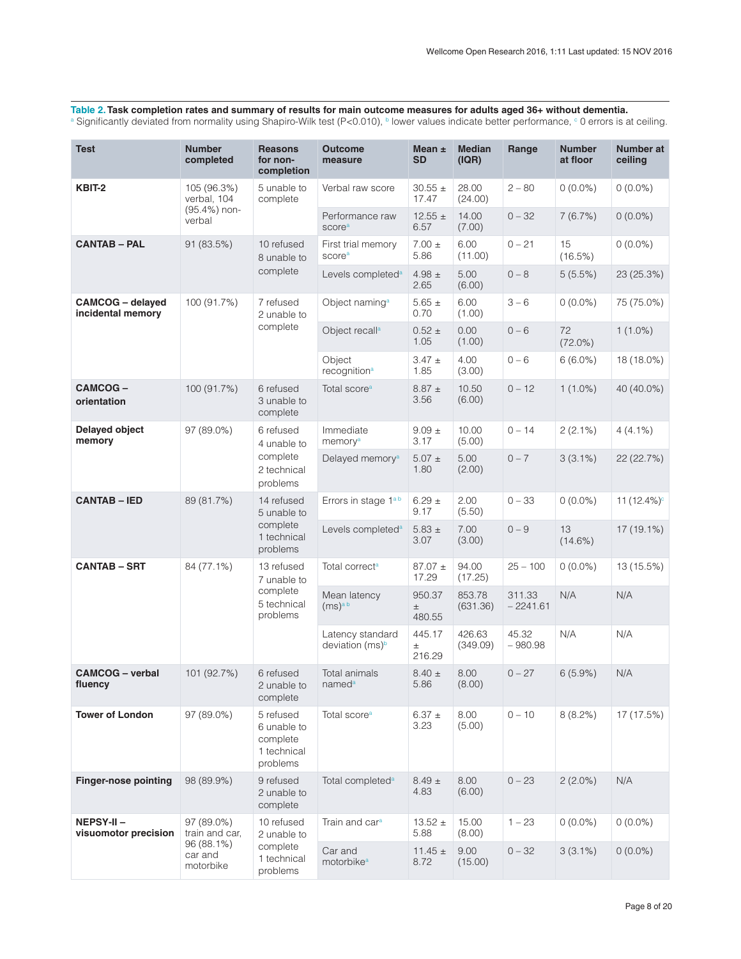<span id="page-7-0"></span>Table 2. Task completion rates and summary of results for main outcome measures for adults aged 36+ without dementia.<br>ª Significantly deviated from normality using Shapiro-Wilk test (P<0.010), <sup>b</sup> lower values indicate bet

| <b>Test</b>                                  | <b>Number</b><br>completed         | <b>Reasons</b><br>for non-<br>completion                        | <b>Outcome</b><br>measure                       | Mean $\pm$<br><b>SD</b>   | <b>Median</b><br>( IQR) | Range                | <b>Number</b><br>at floor | Number at<br>ceiling |
|----------------------------------------------|------------------------------------|-----------------------------------------------------------------|-------------------------------------------------|---------------------------|-------------------------|----------------------|---------------------------|----------------------|
| KBIT-2                                       | 105 (96.3%)<br>verbal, 104         | 5 unable to<br>complete                                         | Verbal raw score                                | $30.55 \pm$<br>17.47      | 28.00<br>(24.00)        | $2 - 80$             | $0(0.0\%)$                | $0(0.0\%)$           |
|                                              | (95.4%) non-<br>verbal             |                                                                 | Performance raw<br>scorea                       | $12.55 \pm$<br>6.57       | 14.00<br>(7.00)         | $0 - 32$             | 7(6.7%)                   | $0(0.0\%)$           |
| <b>CANTAB - PAL</b>                          | 91 (83.5%)                         | 10 refused<br>8 unable to                                       | First trial memory<br>scorea                    | $7.00 \pm$<br>5.86        | 6.00<br>(11.00)         | $0 - 21$             | 15<br>(16.5%)             | $0(0.0\%)$           |
|                                              |                                    | complete                                                        | Levels completed <sup>a</sup>                   | 4.98 $\pm$<br>2.65        | 5.00<br>(6.00)          | $0 - 8$              | $5(5.5\%)$                | 23 (25.3%)           |
| <b>CAMCOG</b> - delayed<br>incidental memory | 100 (91.7%)                        | 7 refused<br>2 unable to                                        | Object naming <sup>a</sup>                      | $5.65 \pm$<br>0.70        | 6.00<br>(1.00)          | $3 - 6$              | $0(0.0\%)$                | 75 (75.0%)           |
|                                              |                                    | complete                                                        | Object recall <sup>a</sup>                      | $0.52 \pm$<br>1.05        | 0.00<br>(1.00)          | $0 - 6$              | 72<br>$(72.0\%)$          | $1(1.0\%)$           |
|                                              |                                    |                                                                 | Object<br>recognition <sup>a</sup>              | $3.47 \pm$<br>1.85        | 4.00<br>(3.00)          | $0 - 6$              | $6(6.0\%)$                | 18 (18.0%)           |
| CAMCOG-<br>orientation                       | 100 (91.7%)                        | 6 refused<br>3 unable to<br>complete                            | Total score <sup>a</sup>                        | $8.87 \pm$<br>3.56        | 10.50<br>(6.00)         | $0 - 12$             | $1(1.0\%)$                | 40 (40.0%)           |
| Delayed object<br>memory                     | 97 (89.0%)                         | 6 refused<br>4 unable to                                        | Immediate<br>memory <sup>a</sup>                | $9.09 \pm$<br>3.17        | 10.00<br>(5.00)         | $0 - 14$             | $2(2.1\%)$                | $4(4.1\%)$           |
|                                              |                                    | complete<br>2 technical<br>problems                             | Delayed memory <sup>a</sup>                     | $5.07 \pm$<br>1.80        | 5.00<br>(2.00)          | $0 - 7$              | $3(3.1\%)$                | 22 (22.7%)           |
| <b>CANTAB - IED</b>                          | 89 (81.7%)                         | 14 refused<br>5 unable to                                       | Errors in stage 1 <sup>ab</sup>                 | $6.29 \pm$<br>9.17        | 2.00<br>(5.50)          | $0 - 33$             | $0(0.0\%)$                | 11 $(12.4%)^c$       |
|                                              |                                    | complete<br>1 technical<br>problems                             | Levels completed <sup>a</sup>                   | $5.83 \pm$<br>3.07        | 7.00<br>(3.00)          | $0 - 9$              | 13<br>$(14.6\%)$          | 17 (19.1%)           |
| <b>CANTAB - SRT</b>                          | 84 (77.1%)                         | 13 refused<br>7 unable to                                       | Total correct <sup>a</sup>                      | $87.07 \pm$<br>17.29      | 94.00<br>(17.25)        | $25 - 100$           | $0(0.0\%)$                | 13 (15.5%)           |
|                                              |                                    | complete<br>5 technical<br>problems                             | Mean latency<br>(ms) <sup>ab</sup>              | 950.37<br>$\pm$<br>480.55 | 853.78<br>(631.36)      | 311.33<br>$-2241.61$ | N/A                       | N/A                  |
|                                              |                                    |                                                                 | Latency standard<br>deviation (ms) <sup>b</sup> | 445.17<br>$\pm$<br>216.29 | 426.63<br>(349.09)      | 45.32<br>$-980.98$   | N/A                       | N/A                  |
| <b>CAMCOG</b> - verbal<br>fluency            | 101 (92.7%)                        | 6 refused<br>2 unable to<br>complete                            | Total animals<br>named <sup>a</sup>             | $8.40 \pm$<br>5.86        | 8.00<br>(8.00)          | $0 - 27$             | 6(5.9%)                   | N/A                  |
| <b>Tower of London</b>                       | 97 (89.0%)                         | 5 refused<br>6 unable to<br>complete<br>1 technical<br>problems | Total score <sup>a</sup>                        | 6.37 $\pm$<br>3.23        | 8.00<br>(5.00)          | $0 - 10$             | $8(8.2\%)$                | 17 (17.5%)           |
| <b>Finger-nose pointing</b>                  | 98 (89.9%)                         | 9 refused<br>2 unable to<br>complete                            | Total completed <sup>a</sup>                    | $8.49 \pm$<br>4.83        | 8.00<br>(6.00)          | $0 - 23$             | $2(2.0\%)$                | N/A                  |
| NEPSY-II-<br>visuomotor precision            | 97 (89.0%)<br>train and car,       | 10 refused<br>2 unable to                                       | Train and car <sup>a</sup>                      | $13.52 \pm$<br>5.88       | 15.00<br>(8.00)         | $1 - 23$             | $0(0.0\%)$                | $0(0.0\%)$           |
|                                              | 96 (88.1%)<br>car and<br>motorbike | complete<br>1 technical<br>problems                             | Car and<br>motorbike <sup>a</sup>               | $11.45 \pm$<br>8.72       | 9.00<br>(15.00)         | $0 - 32$             | $3(3.1\%)$                | $0(0.0\%)$           |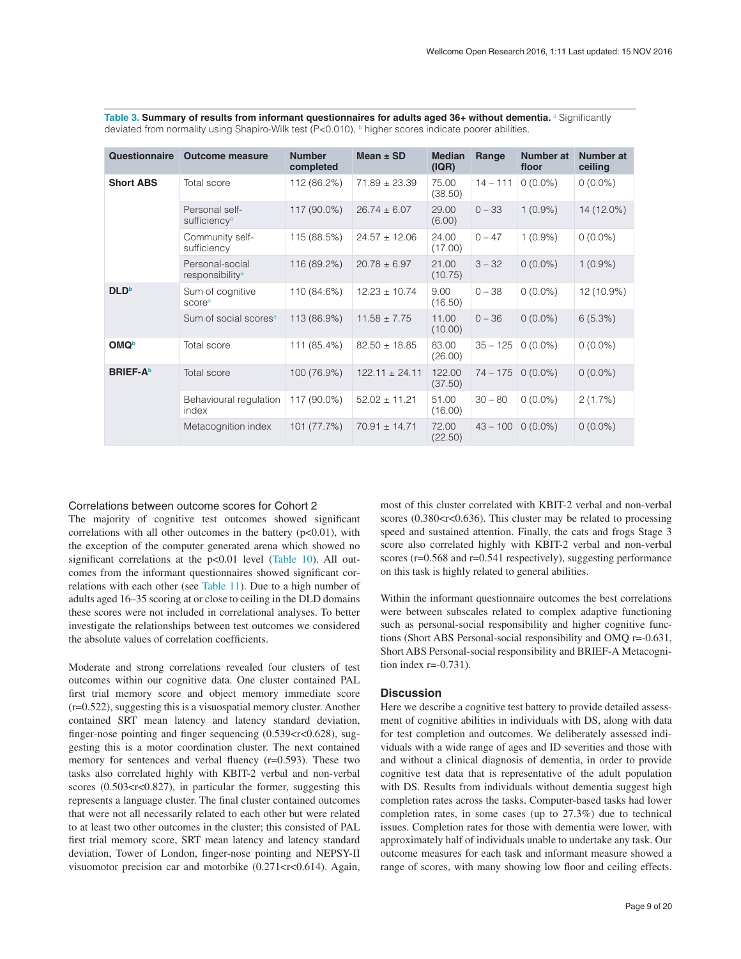| Questionnaire    | <b>Outcome measure</b>                         | <b>Number</b><br>completed | Mean $\pm$ SD      | <b>Median</b><br>( IQR) | Range      | Number at<br>floor | Number at<br>ceiling |
|------------------|------------------------------------------------|----------------------------|--------------------|-------------------------|------------|--------------------|----------------------|
| <b>Short ABS</b> | Total score                                    | 112 (86.2%)                | $71.89 \pm 23.39$  | 75.00<br>(38.50)        | $14 - 111$ | $0(0.0\%)$         | $0(0.0\%)$           |
|                  | Personal self-<br>sufficiency <sup>a</sup>     | 117 (90.0%)                | $26.74 \pm 6.07$   | 29.00<br>(6.00)         | $0 - 33$   | $1(0.9\%)$         | 14 (12.0%)           |
|                  | Community self-<br>sufficiency                 | 115 (88.5%)                | $24.57 \pm 12.06$  | 24.00<br>(17.00)        | $0 - 47$   | $1(0.9\%)$         | $0(0.0\%)$           |
|                  | Personal-social<br>responsibility <sup>a</sup> | 116 (89.2%)                | $20.78 \pm 6.97$   | 21.00<br>(10.75)        | $3 - 32$   | $0(0.0\%)$         | $1(0.9\%)$           |
| <b>DLD</b>       | Sum of cognitive<br>score <sup>a</sup>         | 110 (84.6%)                | $12.23 \pm 10.74$  | 9.00<br>(16.50)         | $0 - 38$   | $0(0.0\%)$         | 12 (10.9%)           |
|                  | Sum of social scores <sup>a</sup>              | 113 (86.9%)                | $11.58 \pm 7.75$   | 11.00<br>(10.00)        | $0 - 36$   | $0(0.0\%)$         | 6(5.3%)              |
| <b>OMQ</b>       | Total score                                    | 111 (85.4%)                | $82.50 \pm 18.85$  | 83.00<br>(26.00)        | $35 - 125$ | $0(0.0\%)$         | $0(0.0\%)$           |
| <b>BRIEF-A</b>   | Total score                                    | 100 (76.9%)                | $122.11 \pm 24.11$ | 122.00<br>(37.50)       | $74 - 175$ | $0(0.0\%)$         | $0(0.0\%)$           |
|                  | Behavioural regulation<br>index                | 117 (90.0%)                | $52.02 \pm 11.21$  | 51.00<br>(16.00)        | $30 - 80$  | $0(0.0\%)$         | 2(1.7%)              |
|                  | Metacognition index                            | 101 (77.7%)                | $70.91 \pm 14.71$  | 72.00<br>(22.50)        | $43 - 100$ | $0(0.0\%)$         | $0(0.0\%)$           |

<span id="page-8-0"></span>Table 3. Summary of results from informant questionnaires for adults aged 36+ without dementia. <sup>a</sup> Significantly deviated from normality using Shapiro-Wilk test (P<0.010), b higher scores indicate poorer abilities.

# Correlations between outcome scores for Cohort 2

The majority of cognitive test outcomes showed significant correlations with all other outcomes in the battery  $(p<0.01)$ , with the exception of the computer generated arena which showed no significant correlations at the p<0.01 level [\(Table 10](#page-13-0)). All outcomes from the informant questionnaires showed significant correlations with each other (see [Table 11\)](#page-15-0). Due to a high number of adults aged 16–35 scoring at or close to ceiling in the DLD domains these scores were not included in correlational analyses. To better investigate the relationships between test outcomes we considered the absolute values of correlation coefficients.

Moderate and strong correlations revealed four clusters of test outcomes within our cognitive data. One cluster contained PAL first trial memory score and object memory immediate score (r=0.522), suggesting this is a visuospatial memory cluster. Another contained SRT mean latency and latency standard deviation, finger-nose pointing and finger sequencing  $(0.539 < r < 0.628)$ , suggesting this is a motor coordination cluster. The next contained memory for sentences and verbal fluency (r=0.593). These two tasks also correlated highly with KBIT-2 verbal and non-verbal scores  $(0.503 < r < 0.827)$ , in particular the former, suggesting this represents a language cluster. The final cluster contained outcomes that were not all necessarily related to each other but were related to at least two other outcomes in the cluster; this consisted of PAL first trial memory score, SRT mean latency and latency standard deviation, Tower of London, finger-nose pointing and NEPSY-II visuomotor precision car and motorbike  $(0.271 < r < 0.614)$ . Again,

most of this cluster correlated with KBIT-2 verbal and non-verbal scores  $(0.380 < r < 0.636)$ . This cluster may be related to processing speed and sustained attention. Finally, the cats and frogs Stage 3 score also correlated highly with KBIT-2 verbal and non-verbal scores (r=0.568 and r=0.541 respectively), suggesting performance on this task is highly related to general abilities.

Within the informant questionnaire outcomes the best correlations were between subscales related to complex adaptive functioning such as personal-social responsibility and higher cognitive functions (Short ABS Personal-social responsibility and OMQ r=-0.631, Short ABS Personal-social responsibility and BRIEF-A Metacognition index  $r = -0.731$ ).

# **Discussion**

Here we describe a cognitive test battery to provide detailed assessment of cognitive abilities in individuals with DS, along with data for test completion and outcomes. We deliberately assessed individuals with a wide range of ages and ID severities and those with and without a clinical diagnosis of dementia, in order to provide cognitive test data that is representative of the adult population with DS. Results from individuals without dementia suggest high completion rates across the tasks. Computer-based tasks had lower completion rates, in some cases (up to 27.3%) due to technical issues. Completion rates for those with dementia were lower, with approximately half of individuals unable to undertake any task. Our outcome measures for each task and informant measure showed a range of scores, with many showing low floor and ceiling effects.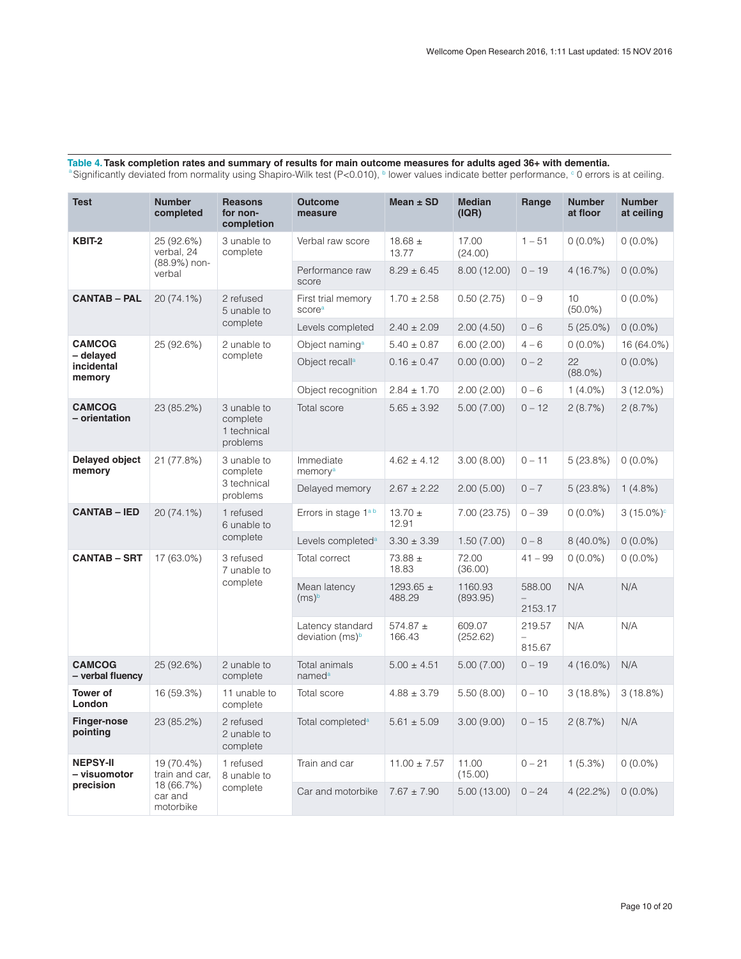| <b>Test</b>                       | <b>Number</b><br>completed         | <b>Reasons</b><br>for non-<br>completion           | <b>Outcome</b><br>measure                       | Mean $\pm$ SD           | <b>Median</b><br>( IQR) | Range                                        | <b>Number</b><br>at floor     | <b>Number</b><br>at ceiling |
|-----------------------------------|------------------------------------|----------------------------------------------------|-------------------------------------------------|-------------------------|-------------------------|----------------------------------------------|-------------------------------|-----------------------------|
| KBIT-2                            | 25 (92.6%)<br>verbal, 24           | 3 unable to<br>complete                            | Verbal raw score                                | $18.68 \pm$<br>13.77    | 17.00<br>(24.00)        | $1 - 51$                                     | $0(0.0\%)$                    | $0(0.0\%)$                  |
|                                   | (88.9%) non-<br>verbal             |                                                    | Performance raw<br>score                        | $8.29 \pm 6.45$         | 8.00 (12.00)            | $0 - 19$                                     | 4(16.7%)                      | $0(0.0\%)$                  |
| <b>CANTAB - PAL</b>               | 20 (74.1%)                         | 2 refused<br>5 unable to                           | First trial memory<br>scorea                    | $1.70 \pm 2.58$         | 0.50(2.75)              | $0 - 9$                                      | 10 <sup>°</sup><br>$(50.0\%)$ | $0(0.0\%)$                  |
|                                   |                                    | complete                                           | Levels completed                                | $2.40 \pm 2.09$         | 2.00(4.50)              | $0 - 6$                                      | $5(25.0\%)$                   | $0(0.0\%)$                  |
| <b>CAMCOG</b>                     | 25 (92.6%)                         | 2 unable to                                        | Object naming <sup>a</sup>                      | $5.40 \pm 0.87$         | 6.00(2.00)              | $4 - 6$                                      | $0(0.0\%)$                    | 16 (64.0%)                  |
| - delayed<br>incidental<br>memory |                                    | complete                                           | Object recall <sup>a</sup>                      | $0.16 \pm 0.47$         | 0.00(0.00)              | $0 - 2$                                      | 22<br>$(88.0\%)$              | $0(0.0\%)$                  |
|                                   |                                    |                                                    | Object recognition                              | $2.84 \pm 1.70$         | 2.00(2.00)              | $0 - 6$                                      | $1(4.0\%)$                    | $3(12.0\%)$                 |
| <b>CAMCOG</b><br>- orientation    | 23 (85.2%)                         | 3 unable to<br>complete<br>1 technical<br>problems | Total score                                     | $5.65 \pm 3.92$         | 5.00(7.00)              | $0 - 12$                                     | 2(8.7%)                       | 2(8.7%)                     |
| Delayed object<br>memory          | 21 (77.8%)                         | 3 unable to<br>complete<br>3 technical<br>problems | Immediate<br>memory <sup>a</sup>                | $4.62 \pm 4.12$         | 3.00(8.00)              | $0 - 11$                                     | 5(23.8%)                      | $0(0.0\%)$                  |
|                                   |                                    |                                                    | Delayed memory                                  | $2.67 \pm 2.22$         | 2.00(5.00)              | $0 - 7$                                      | 5(23.8%)                      | $1(4.8\%)$                  |
| <b>CANTAB - IED</b>               | 20 (74.1%)                         | 1 refused<br>6 unable to                           | Errors in stage 1 <sup>ab</sup>                 | $13.70 \pm$<br>12.91    | 7.00 (23.75)            | $0 - 39$                                     | $0(0.0\%)$                    | $3(15.0\%)$ <sup>c</sup>    |
|                                   |                                    | complete                                           | Levels completed <sup>a</sup>                   | $3.30 \pm 3.39$         | 1.50(7.00)              | $0 - 8$                                      | $8(40.0\%)$                   | $0(0.0\%)$                  |
| <b>CANTAB - SRT</b>               | 17 (63.0%)                         | 3 refused<br>7 unable to                           | Total correct                                   | $73.88 \pm$<br>18.83    | 72.00<br>(36.00)        | $41 - 99$                                    | $0(0.0\%)$                    | $0(0.0\%)$                  |
|                                   |                                    | complete                                           | Mean latency<br>$(ms)^b$                        | 1293.65 $\pm$<br>488.29 | 1160.93<br>(893.95)     | 588.00<br>2153.17                            | N/A                           | N/A                         |
|                                   |                                    |                                                    | Latency standard<br>deviation (ms) <sup>b</sup> | 574.87 $\pm$<br>166.43  | 609.07<br>(252.62)      | 219.57<br>$\overline{\phantom{0}}$<br>815.67 | N/A                           | N/A                         |
| <b>CAMCOG</b><br>- verbal fluency | 25 (92.6%)                         | 2 unable to<br>complete                            | Total animals<br>named <sup>a</sup>             | $5.00 \pm 4.51$         | 5.00(7.00)              | $0 - 19$                                     | $4(16.0\%)$                   | N/A                         |
| <b>Tower of</b><br>London         | 16 (59.3%)                         | 11 unable to<br>complete                           | Total score                                     | $4.88 \pm 3.79$         | 5.50(8.00)              | $0 - 10$                                     | 3(18.8%)                      | 3(18.8%)                    |
| <b>Finger-nose</b><br>pointing    | 23 (85.2%)                         | 2 refused<br>2 unable to<br>complete               | Total completed <sup>a</sup>                    | $5.61 \pm 5.09$         | 3.00(9.00)              | $0 - 15$                                     | 2(8.7%)                       | N/A                         |
| <b>NEPSY-II</b><br>- visuomotor   | 19 (70.4%)<br>train and car.       | 1 refused<br>8 unable to                           | Train and car                                   | $11.00 \pm 7.57$        | 11.00<br>(15.00)        | $0 - 21$                                     | 1(5.3%)                       | $0(0.0\%)$                  |
| precision                         | 18 (66.7%)<br>car and<br>motorbike | complete                                           | Car and motorbike                               | $7.67 \pm 7.90$         | 5.00(13.00)             | $0 - 24$                                     | $4(22.2\%)$                   | $0(0.0\%)$                  |

<span id="page-9-0"></span>Table 4. Task completion rates and summary of results for main outcome measures for adults aged 36+ with dementia.<br><sup>a</sup> Significantly deviated from normality using Shapiro-Wilk test (P<0.010), <sup>b</sup> lower values indicate bett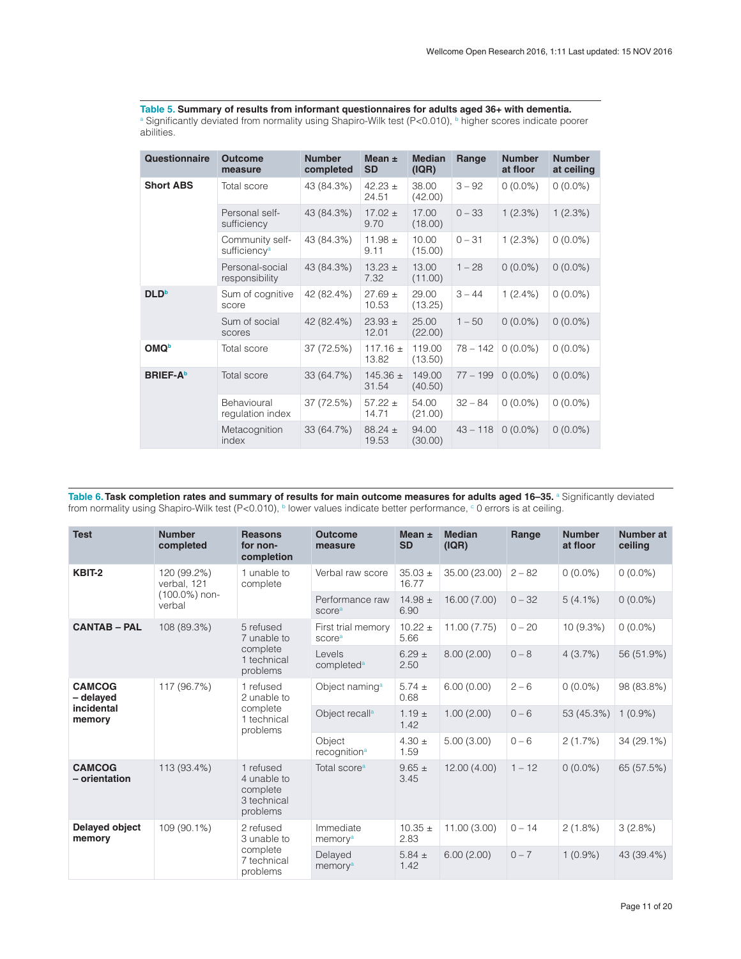<span id="page-10-0"></span>Table 5. Summary of results from informant questionnaires for adults aged 36+ with dementia.<br><sup>a</sup> Significantly deviated from normality using Shapiro-Wilk test (P<0.010), <sup>b</sup> higher scores indicate poorer abilities.

| <b>Questionnaire</b> | <b>Outcome</b><br>measure                   | <b>Number</b><br>completed | Mean $\pm$<br><b>SD</b> | <b>Median</b><br>( IQR) | Range      | <b>Number</b><br>at floor | <b>Number</b><br>at ceiling |
|----------------------|---------------------------------------------|----------------------------|-------------------------|-------------------------|------------|---------------------------|-----------------------------|
| <b>Short ABS</b>     | Total score                                 | 43 (84.3%)                 | $42.23 \pm$<br>24.51    | 38.00<br>(42.00)        | $3 - 92$   | $0(0.0\%)$                | $0(0.0\%)$                  |
|                      | Personal self-<br>sufficiency               | 43 (84.3%)                 | $17.02 \pm$<br>9.70     | 17.00<br>(18.00)        | $0 - 33$   | 1(2.3%)                   | 1(2.3%)                     |
|                      | Community self-<br>sufficiency <sup>a</sup> | 43 (84.3%)                 | 11.98 $\pm$<br>9.11     | 10.00<br>(15.00)        | $0 - 31$   | 1(2.3%)                   | $0(0.0\%)$                  |
|                      | Personal-social<br>responsibility           | 43 (84.3%)                 | $13.23 \pm$<br>7.32     | 13.00<br>(11.00)        | $1 - 28$   | $0(0.0\%)$                | $0(0.0\%)$                  |
| <b>DLD</b>           | Sum of cognitive<br>score                   | 42 (82.4%)                 | $27.69 \pm$<br>10.53    | 29.00<br>(13.25)        | $3 - 44$   | $1(2.4\%)$                | $0(0.0\%)$                  |
|                      | Sum of social<br>scores                     | 42 (82.4%)                 | $23.93 \pm$<br>12.01    | 25.00<br>(22.00)        | $1 - 50$   | $0(0.0\%)$                | $0(0.0\%)$                  |
| <b>OMQ</b>           | Total score                                 | 37 (72.5%)                 | $117.16 \pm$<br>13.82   | 119.00<br>(13.50)       | $78 - 142$ | $0(0.0\%)$                | $0(0.0\%)$                  |
| <b>BRIEF-A</b>       | Total score                                 | 33 (64.7%)                 | 145.36 $\pm$<br>31.54   | 149.00<br>(40.50)       | $77 - 199$ | $0(0.0\%)$                | $0(0.0\%)$                  |
|                      | Behavioural<br>regulation index             | 37 (72.5%)                 | $57.22 \pm$<br>14.71    | 54.00<br>(21.00)        | $32 - 84$  | $0(0.0\%)$                | $0(0.0\%)$                  |
|                      | Metacognition<br>index                      | 33 (64.7%)                 | $88.24 \pm$<br>19.53    | 94.00<br>(30.00)        | $43 - 118$ | $0(0.0\%)$                | $0(0.0\%)$                  |

Table 6. Task completion rates and summary of results for main outcome measures for adults aged 16–35. <sup>a</sup> Significantly deviated from normality using Shapiro-Wilk test (P<0.010), b lower values indicate better performance, o 0 errors is at ceiling.

| <b>Test</b>                     | <b>Number</b><br>completed | <b>Reasons</b><br>for non-<br>completion                        | <b>Outcome</b><br>measure                | Mean $\pm$<br><b>SD</b> | <b>Median</b><br>(IQR) | Range    | <b>Number</b><br>at floor | Number at<br>ceiling |
|---------------------------------|----------------------------|-----------------------------------------------------------------|------------------------------------------|-------------------------|------------------------|----------|---------------------------|----------------------|
| KBIT-2                          | 120 (99.2%)<br>verbal, 121 | 1 unable to<br>complete                                         | Verbal raw score                         | $35.03 +$<br>16.77      | 35.00 (23.00)          | $2 - 82$ | $0(0.0\%)$                | $0(0.0\%)$           |
|                                 | $(100.0\%)$ non-<br>verbal |                                                                 | Performance raw<br>score <sup>a</sup>    | $14.98 \pm$<br>6.90     | 16.00 (7.00)           | $0 - 32$ | $5(4.1\%)$                | $0(0.0\%)$           |
| <b>CANTAB - PAL</b>             | 108 (89.3%)                | 5 refused<br>7 unable to                                        | First trial memory<br>score <sup>a</sup> | $10.22 \pm$<br>5.66     | 11.00(7.75)            | $0 - 20$ | 10(9.3%)                  | $0(0.0\%)$           |
|                                 |                            | complete<br>1 technical<br>problems                             | Levels<br>completed <sup>a</sup>         | $6.29 \pm$<br>2.50      | 8.00(2.00)             | $0 - 8$  | 4(3.7%)                   | 56 (51.9%)           |
| <b>CAMCOG</b><br>- delayed      | 117 (96.7%)                | 1 refused<br>2 unable to<br>complete<br>1 technical<br>problems | Object naming <sup>a</sup>               | $5.74 \pm$<br>0.68      | 6.00(0.00)             | $2 - 6$  | $0(0.0\%)$                | 98 (83.8%)           |
| incidental<br>memory            |                            |                                                                 | Object recall <sup>a</sup>               | $1.19 \pm$<br>1.42      | 1.00(2.00)             | $0 - 6$  | 53 (45.3%)                | $1(0.9\%)$           |
|                                 |                            |                                                                 | Object<br>recognition <sup>a</sup>       | $4.30 \pm$<br>1.59      | 5.00(3.00)             | $0 - 6$  | 2(1.7%)                   | 34 (29.1%)           |
| <b>CAMCOG</b><br>- orientation  | 113 (93.4%)                | 1 refused<br>4 unable to<br>complete<br>3 technical<br>problems | Total score <sup>a</sup>                 | $9.65 \pm$<br>3.45      | 12.00(4.00)            | $1 - 12$ | $0(0.0\%)$                | 65 (57.5%)           |
| <b>Delayed object</b><br>memory | 109 (90.1%)                | 2 refused<br>3 unable to                                        | Immediate<br>memory <sup>a</sup>         | $10.35 \pm$<br>2.83     | 11.00(3.00)            | $0 - 14$ | $2(1.8\%)$                | 3(2.8%)              |
|                                 |                            | complete<br>7 technical<br>problems                             | Delayed<br>memory <sup>a</sup>           | 5.84 $\pm$<br>1.42      | 6.00(2.00)             | $0 - 7$  | $1(0.9\%)$                | 43 (39.4%)           |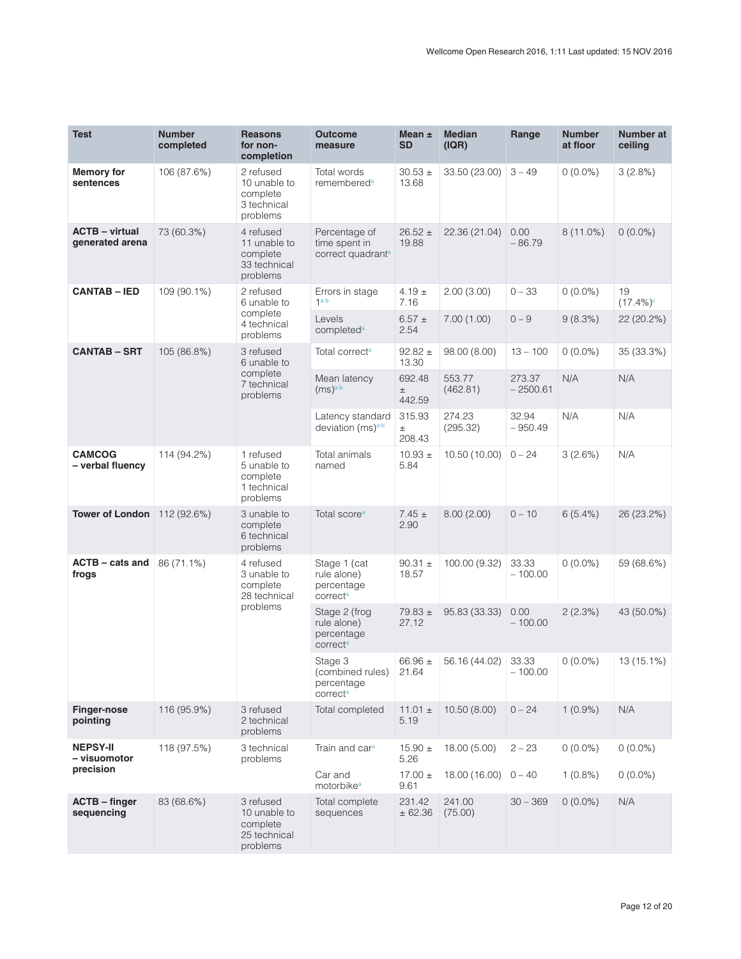| <b>Test</b>                              | <b>Number</b><br>completed | <b>Reasons</b><br>for non-<br>completion                          | <b>Outcome</b><br>measure                                          | Mean $\pm$<br><b>SD</b>   | <b>Median</b><br>(IQR) | Range                | <b>Number</b><br>at floor | Number at<br>ceiling |
|------------------------------------------|----------------------------|-------------------------------------------------------------------|--------------------------------------------------------------------|---------------------------|------------------------|----------------------|---------------------------|----------------------|
| <b>Memory for</b><br>sentences           | 106 (87.6%)                | 2 refused<br>10 unable to<br>complete<br>3 technical<br>problems  | Total words<br>remembered <sup>a</sup>                             | $30.53 \pm$<br>13.68      | 33.50 (23.00)          | $3 - 49$             | $0(0.0\%)$                | 3(2.8%)              |
| <b>ACTB</b> – virtual<br>generated arena | 73 (60.3%)                 | 4 refused<br>11 unable to<br>complete<br>33 technical<br>problems | Percentage of<br>time spent in<br>correct quadrant <sup>a</sup>    | $26.52 \pm$<br>19.88      | 22.36 (21.04)          | 0.00<br>$-86.79$     | $8(11.0\%)$               | $0(0.0\%)$           |
| <b>CANTAB - IED</b>                      | 109 (90.1%)                | 2 refused<br>6 unable to                                          | Errors in stage<br>1 <sup>a</sup> b                                | 4.19 $\pm$<br>7.16        | 2.00(3.00)             | $0 - 33$             | $0(0.0\%)$                | 19<br>$(17.4\%)c$    |
|                                          |                            | complete<br>4 technical<br>problems                               | Levels<br>completed <sup>a</sup>                                   | $6.57 \pm$<br>2.54        | 7.00(1.00)             | $0 - 9$              | 9(8.3%)                   | 22 (20.2%)           |
| <b>CANTAB - SRT</b>                      | 105 (86.8%)                | 3 refused<br>6 unable to                                          | Total correct <sup>a</sup>                                         | $92.82 \pm$<br>13.30      | 98.00 (8.00)           | $13 - 100$           | $0(0.0\%)$                | 35 (33.3%)           |
|                                          |                            | complete<br>7 technical<br>problems                               | Mean latency<br>(ms) <sup>ab</sup>                                 | 692.48<br>$\pm$<br>442.59 | 553.77<br>(462.81)     | 273.37<br>$-2500.61$ | N/A                       | N/A                  |
|                                          |                            |                                                                   | Latency standard<br>deviation (ms) <sup>ab</sup>                   | 315.93<br>$\pm$<br>208.43 | 274.23<br>(295.32)     | 32.94<br>$-950.49$   | N/A                       | N/A                  |
| <b>CAMCOG</b><br>- verbal fluency        | 114 (94.2%)                | 1 refused<br>5 unable to<br>complete<br>1 technical<br>problems   | Total animals<br>named                                             | $10.93 \pm$<br>5.84       | 10.50 (10.00)          | $0 - 24$             | 3(2.6%)                   | N/A                  |
| <b>Tower of London</b> 112 (92.6%)       |                            | 3 unable to<br>complete<br>6 technical<br>problems                | Total score <sup>a</sup>                                           | $7.45 \pm$<br>2.90        | 8.00(2.00)             | $0 - 10$             | 6(5.4%)                   | 26 (23.2%)           |
| <b>ACTB - cats and</b><br>frogs          | 86 (71.1%)                 | 4 refused<br>3 unable to<br>complete<br>28 technical              | Stage 1 (cat<br>rule alone)<br>percentage<br>correct <sup>a</sup>  | $90.31 \pm$<br>18.57      | 100.00 (9.32)          | 33.33<br>$-100.00$   | $0(0.0\%)$                | 59 (68.6%)           |
|                                          |                            | problems                                                          | Stage 2 (frog<br>rule alone)<br>percentage<br>correct <sup>a</sup> | $79.83 \pm$<br>27.12      | 95.83 (33.33)          | 0.00<br>$-100.00$    | 2(2.3%)                   | 43 (50.0%)           |
|                                          |                            |                                                                   | Stage 3<br>(combined rules)<br>percentage<br>correct <sup>a</sup>  | 66.96 $\pm$<br>21.64      | 56.16 (44.02)          | 33.33<br>– 100.00    | $0(0.0\%)$                | 13 (15.1%)           |
| <b>Finger-nose</b><br>pointing           | 116 (95.9%)                | 3 refused<br>2 technical<br>problems                              | Total completed                                                    | 11.01 $\pm$<br>5.19       | 10.50 (8.00)           | $0 - 24$             | $1(0.9\%)$                | N/A                  |
| <b>NEPSY-II</b><br>– visuomotor          | 118 (97.5%)                | 3 technical<br>problems                                           | Train and car <sup>a</sup>                                         | $15.90 \pm$<br>5.26       | 18.00 (5.00)           | $2 - 23$             | $0(0.0\%)$                | $0(0.0\%)$           |
| precision                                |                            |                                                                   | Car and<br>motorbike <sup>a</sup>                                  | $17.00 \pm$<br>9.61       | 18.00 (16.00)          | $0 - 40$             | $1(0.8\%)$                | $0(0.0\%)$           |
| <b>ACTB</b> - finger<br>sequencing       | 83 (68.6%)                 | 3 refused<br>10 unable to<br>complete<br>25 technical<br>problems | Total complete<br>sequences                                        | 231.42<br>± 62.36         | 241.00<br>(75.00)      | $30 - 369$           | $0(0.0\%)$                | N/A                  |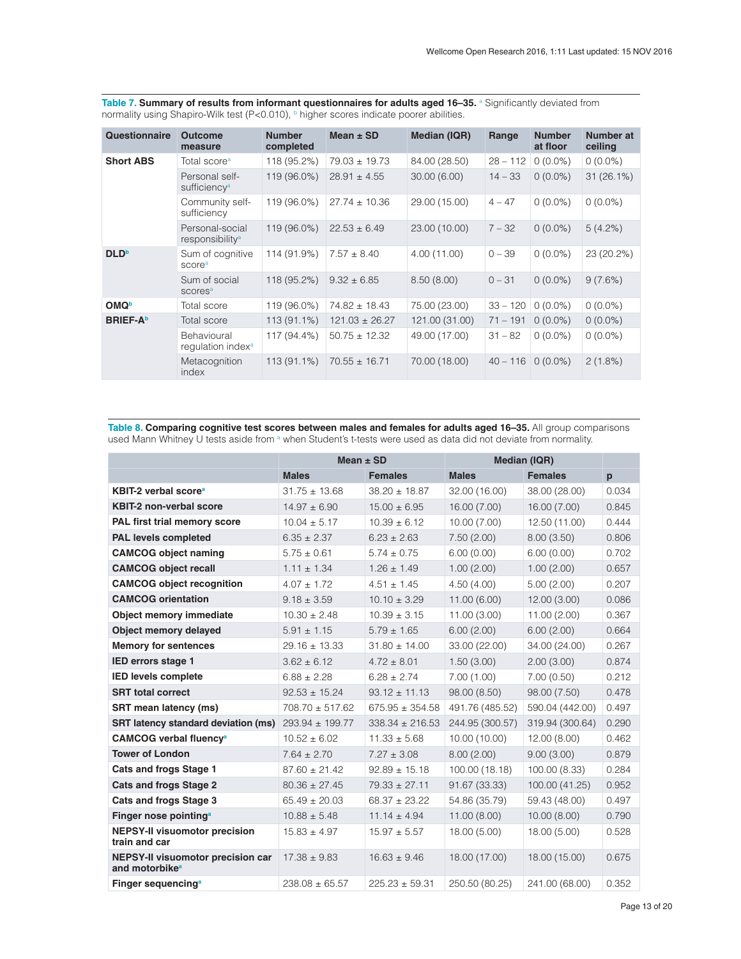| <b>Questionnaire</b>    | <b>Outcome</b><br>measure                      | <b>Number</b><br>completed | Mean $\pm$ SD      | <b>Median (IQR)</b> | Range      | <b>Number</b><br>at floor | Number at<br>ceiling |
|-------------------------|------------------------------------------------|----------------------------|--------------------|---------------------|------------|---------------------------|----------------------|
| <b>Short ABS</b>        | Total score <sup>a</sup>                       | 118 (95.2%)                | $79.03 \pm 19.73$  | 84.00 (28.50)       | $28 - 112$ | $0(0.0\%)$                | $0(0.0\%)$           |
|                         | Personal self-<br>sufficiency <sup>a</sup>     | 119 (96.0%)                | $28.91 \pm 4.55$   | 30.00(6.00)         | $14 - 33$  | $0(0.0\%)$                | $31(26.1\%)$         |
|                         | Community self-<br>sufficiency                 | 119 (96.0%)                | $27.74 \pm 10.36$  | 29.00 (15.00)       | $4 - 47$   | $0(0.0\%)$                | $0(0.0\%)$           |
|                         | Personal-social<br>responsibility <sup>a</sup> | 119 (96.0%)                | $22.53 \pm 6.49$   | 23.00 (10.00)       | $7 - 32$   | $0(0.0\%)$                | $5(4.2\%)$           |
| <b>DLD</b> <sup>b</sup> | Sum of cognitive<br>score <sup>a</sup>         | 114 (91.9%)                | $7.57 \pm 8.40$    | 4.00(11.00)         | $0 - 39$   | $0(0.0\%)$                | 23 (20.2%)           |
|                         | Sum of social<br>scores <sup>a</sup>           | 118 (95.2%)                | $9.32 \pm 6.85$    | 8.50(8.00)          | $0 - 31$   | $0(0.0\%)$                | 9(7.6%)              |
| <b>OMQ</b>              | Total score                                    | 119 (96.0%)                | $74.82 \pm 18.43$  | 75.00 (23.00)       | $33 - 120$ | $0(0.0\%)$                | $0(0.0\%)$           |
| <b>BRIEF-A</b>          | Total score                                    | 113 (91.1%)                | $121.03 \pm 26.27$ | 121.00 (31.00)      | $71 - 191$ | $0(0.0\%)$                | $0(0.0\%)$           |
|                         | Behavioural<br>regulation index <sup>a</sup>   | 117 (94.4%)                | $50.75 \pm 12.32$  | 49.00 (17.00)       | $31 - 82$  | $0(0.0\%)$                | $0(0.0\%)$           |
|                         | Metacognition<br>index                         | 113 (91.1%)                | $70.55 \pm 16.71$  | 70.00 (18.00)       | $40 - 116$ | $0(0.0\%)$                | $2(1.8\%)$           |

<span id="page-12-0"></span>Table 7. Summary of results from informant questionnaires for adults aged 16–35. a Significantly deviated from normality using Shapiro-Wilk test (P<0.010), **b** higher scores indicate poorer abilities.

Table 8. Comparing cognitive test scores between males and females for adults aged 16-35. All group comparisons used Mann Whitney U tests aside from <sup>a</sup> when Student's t-tests were used as data did not deviate from normality.

|                                                                 | Mean $\pm$ SD       |                     |                 | <b>Median (IQR)</b> |       |
|-----------------------------------------------------------------|---------------------|---------------------|-----------------|---------------------|-------|
|                                                                 | <b>Males</b>        | <b>Females</b>      | <b>Males</b>    | <b>Females</b>      | p     |
| KBIT-2 verbal score <sup>a</sup>                                | $31.75 \pm 13.68$   | $38.20 \pm 18.87$   | 32.00 (16.00)   | 38.00 (28.00)       | 0.034 |
| <b>KBIT-2 non-verbal score</b>                                  | $14.97 \pm 6.90$    | $15.00 \pm 6.95$    | 16.00 (7.00)    | 16.00 (7.00)        | 0.845 |
| PAL first trial memory score                                    | $10.04 \pm 5.17$    | $10.39 \pm 6.12$    | 10.00(7.00)     | 12.50 (11.00)       | 0.444 |
| <b>PAL levels completed</b>                                     | $6.35 \pm 2.37$     | $6.23 \pm 2.63$     | 7.50(2.00)      | 8.00(3.50)          | 0.806 |
| <b>CAMCOG object naming</b>                                     | $5.75 \pm 0.61$     | $5.74 \pm 0.75$     | 6.00(0.00)      | 6.00(0.00)          | 0.702 |
| <b>CAMCOG object recall</b>                                     | $1.11 \pm 1.34$     | $1.26 \pm 1.49$     | 1.00(2.00)      | 1.00(2.00)          | 0.657 |
| <b>CAMCOG object recognition</b>                                | $4.07 \pm 1.72$     | $4.51 \pm 1.45$     | 4.50(4.00)      | 5.00(2.00)          | 0.207 |
| <b>CAMCOG</b> orientation                                       | $9.18 \pm 3.59$     | $10.10 \pm 3.29$    | 11.00 (6.00)    | 12.00 (3.00)        | 0.086 |
| Object memory immediate                                         | $10.30 \pm 2.48$    | $10.39 \pm 3.15$    | 11.00 (3.00)    | 11.00(2.00)         | 0.367 |
| Object memory delayed                                           | $5.91 \pm 1.15$     | $5.79 \pm 1.65$     | 6.00(2.00)      | 6.00(2.00)          | 0.664 |
| <b>Memory for sentences</b>                                     | $29.16 \pm 13.33$   | $31.80 \pm 14.00$   | 33.00 (22.00)   | 34.00 (24.00)       | 0.267 |
| <b>IED errors stage 1</b>                                       | $3.62 \pm 6.12$     | $4.72 \pm 8.01$     | 1.50(3.00)      | 2.00(3.00)          | 0.874 |
| <b>IED levels complete</b>                                      | $6.88 \pm 2.28$     | $6.28 \pm 2.74$     | 7.00(1.00)      | 7.00(0.50)          | 0.212 |
| <b>SRT</b> total correct                                        | $92.53 \pm 15.24$   | $93.12 \pm 11.13$   | 98.00 (8.50)    | 98.00 (7.50)        | 0.478 |
| <b>SRT</b> mean latency (ms)                                    | $708.70 \pm 517.62$ | $675.95 \pm 354.58$ | 491.76 (485.52) | 590.04 (442.00)     | 0.497 |
| <b>SRT latency standard deviation (ms)</b>                      | 293.94 ± 199.77     | $338.34 \pm 216.53$ | 244.95 (300.57) | 319.94 (300.64)     | 0.290 |
| <b>CAMCOG verbal fluency<sup>a</sup></b>                        | $10.52 \pm 6.02$    | $11.33 \pm 5.68$    | 10.00 (10.00)   | 12.00 (8.00)        | 0.462 |
| <b>Tower of London</b>                                          | $7.64 \pm 2.70$     | $7.27 \pm 3.08$     | 8.00(2.00)      | 9.00(3.00)          | 0.879 |
| <b>Cats and frogs Stage 1</b>                                   | $87.60 \pm 21.42$   | $92.89 \pm 15.18$   | 100.00 (18.18)  | 100.00 (8.33)       | 0.284 |
| <b>Cats and frogs Stage 2</b>                                   | $80.36 \pm 27.45$   | $79.33 \pm 27.11$   | 91.67 (33.33)   | 100.00 (41.25)      | 0.952 |
| <b>Cats and frogs Stage 3</b>                                   | $65.49 \pm 20.03$   | $68.37 \pm 23.22$   | 54.86 (35.79)   | 59.43 (48.00)       | 0.497 |
| Finger nose pointing <sup>a</sup>                               | $10.88 \pm 5.48$    | $11.14 \pm 4.94$    | 11.00(8.00)     | 10.00(8.00)         | 0.790 |
| <b>NEPSY-II visuomotor precision</b><br>train and car           | $15.83 \pm 4.97$    | $15.97 \pm 5.57$    | 18.00 (5.00)    | 18.00 (5.00)        | 0.528 |
| NEPSY-II visuomotor precision car<br>and motorbike <sup>a</sup> | $17.38 \pm 9.83$    | $16.63 \pm 9.46$    | 18.00 (17.00)   | 18.00 (15.00)       | 0.675 |
| Finger sequencing <sup>a</sup>                                  | $238.08 \pm 65.57$  | $225.23 + 59.31$    | 250.50 (80.25)  | 241.00 (68.00)      | 0.352 |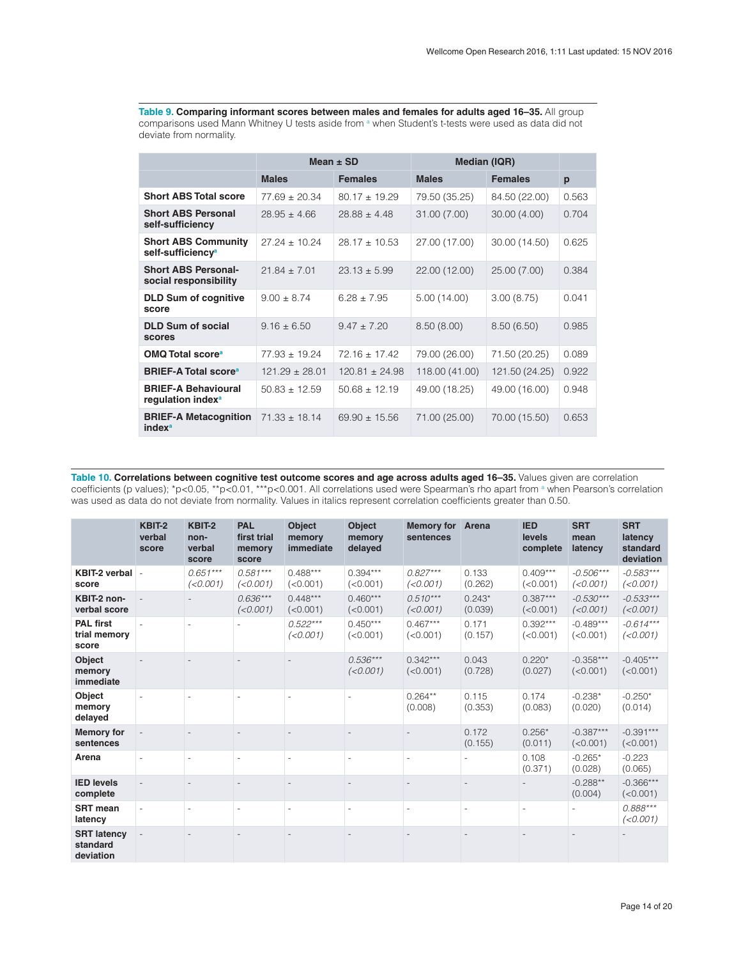<span id="page-13-0"></span>Table 9. Comparing informant scores between males and females for adults aged 16-35. All group comparisons used Mann Whitney U tests aside from a when Student's t-tests were used as data did not deviate from normality.

|                                                             |                    | Mean $\pm$ SD      | <b>Median (IQR)</b> |                |       |
|-------------------------------------------------------------|--------------------|--------------------|---------------------|----------------|-------|
|                                                             | <b>Males</b>       | <b>Females</b>     | <b>Males</b>        | <b>Females</b> | p     |
| <b>Short ABS Total score</b>                                | $77.69 \pm 20.34$  | $80.17 \pm 19.29$  | 79.50 (35.25)       | 84.50 (22.00)  | 0.563 |
| <b>Short ABS Personal</b><br>self-sufficiency               | $28.95 \pm 4.66$   | $28.88 \pm 4.48$   | 31.00 (7.00)        | 30.00 (4.00)   | 0.704 |
| <b>Short ABS Community</b><br>self-sufficiency <sup>a</sup> | $27.24 \pm 10.24$  | $28.17 \pm 10.53$  | 27.00 (17.00)       | 30.00 (14.50)  | 0.625 |
| <b>Short ABS Personal-</b><br>social responsibility         | $21.84 \pm 7.01$   | $23.13 \pm 5.99$   | 22.00 (12.00)       | 25.00 (7.00)   | 0.384 |
| <b>DLD Sum of cognitive</b><br>score                        | $9.00 \pm 8.74$    | $6.28 \pm 7.95$    | 5.00 (14.00)        | 3.00(8.75)     | 0.041 |
| <b>DLD Sum of social</b><br>scores                          | $9.16 \pm 6.50$    | $9.47 \pm 7.20$    | 8.50(8.00)          | 8.50(6.50)     | 0.985 |
| <b>OMQ Total score<sup>a</sup></b>                          | $77.93 \pm 19.24$  | $72.16 \pm 17.42$  | 79.00 (26.00)       | 71.50 (20.25)  | 0.089 |
| <b>BRIEF-A Total score</b> <sup>a</sup>                     | $121.29 \pm 28.01$ | $120.81 \pm 24.98$ | 118.00 (41.00)      | 121.50 (24.25) | 0.922 |
| <b>BRIEF-A Behavioural</b><br>regulation index <sup>a</sup> | $50.83 \pm 12.59$  | $50.68 \pm 12.19$  | 49.00 (18.25)       | 49.00 (16.00)  | 0.948 |
| <b>BRIEF-A Metacognition</b><br>index <sup>a</sup>          | $71.33 \pm 18.14$  | $69.90 \pm 15.56$  | 71.00 (25.00)       | 70.00 (15.50)  | 0.653 |

**Table 10. Correlations between cognitive test outcome scores and age across adults aged 16–35.** Values given are correlation coefficients (p values); \*p<0.05, \*\*p<0.01, \*\*\*p<0.001. All correlations used were Spearman's rho apart from <sup>a</sup> when Pearson's correlation was used as data do not deviate from normality. Values in italics represent correlation coefficients greater than 0.50.

|                                             | KBIT-2<br>verbal<br>score | KBIT-2<br>non-<br>verbal<br>score | <b>PAL</b><br>first trial<br>memory<br>score | <b>Object</b><br>memory<br>immediate | <b>Object</b><br>memory<br>delayed | <b>Memory for</b><br>sentences | Arena                    | <b>IED</b><br>levels<br>complete | <b>SRT</b><br>mean<br>latency | <b>SRT</b><br>latency<br>standard<br>deviation |
|---------------------------------------------|---------------------------|-----------------------------------|----------------------------------------------|--------------------------------------|------------------------------------|--------------------------------|--------------------------|----------------------------------|-------------------------------|------------------------------------------------|
| KBIT-2 verbal -<br>score                    |                           | $0.651***$<br>(<0.001)            | $0.581***$<br>(<0.001)                       | $0.488***$<br>(<0.001)               | $0.394***$<br>(<0.001)             | $0.827***$<br>(<0.001)         | 0.133<br>(0.262)         | $0.409***$<br>(<0.001)           | $-0.506***$<br>(<0.001)       | $-0.583***$<br>(<0.001)                        |
| KBIT-2 non-<br>verbal score                 |                           |                                   | $0.636***$<br>(<0.001)                       | $0.448***$<br>(<0.001)               | $0.460***$<br>(<0.001)             | $0.510***$<br>(<0.001)         | $0.243*$<br>(0.039)      | $0.387***$<br>(<0.001)           | $-0.530***$<br>(<0.001)       | $-0.533***$<br>(<0.001)                        |
| <b>PAL first</b><br>trial memory<br>score   |                           |                                   |                                              | $0.522***$<br>(<0.001)               | $0.450***$<br>(<0.001)             | $0.467***$<br>(<0.001)         | 0.171<br>(0.157)         | $0.392***$<br>(<0.001)           | $-0.489***$<br>(<0.001)       | $-0.614***$<br>(<0.001)                        |
| <b>Object</b><br>memory<br>immediate        |                           |                                   |                                              |                                      | $0.536***$<br>(<0.001)             | $0.342***$<br>(<0.001)         | 0.043<br>(0.728)         | $0.220*$<br>(0.027)              | $-0.358***$<br>(<0.001)       | $-0.405***$<br>(<0.001)                        |
| Object<br>memory<br>delayed                 |                           |                                   |                                              |                                      |                                    | $0.264**$<br>(0.008)           | 0.115<br>(0.353)         | 0.174<br>(0.083)                 | $-0.238*$<br>(0.020)          | $-0.250*$<br>(0.014)                           |
| <b>Memory for</b><br>sentences              |                           |                                   |                                              |                                      |                                    |                                | 0.172<br>(0.155)         | $0.256*$<br>(0.011)              | $-0.387***$<br>(<0.001)       | $-0.391***$<br>(<0.001)                        |
| Arena                                       | ۰                         |                                   | $\overline{a}$                               | $\overline{\phantom{a}}$             | $\sim$                             | $\overline{\phantom{m}}$       | ٠                        | 0.108<br>(0.371)                 | $-0.265*$<br>(0.028)          | $-0.223$<br>(0.065)                            |
| <b>IED levels</b><br>complete               |                           |                                   |                                              |                                      |                                    |                                |                          |                                  | $-0.288**$<br>(0.004)         | $-0.366***$<br>(<0.001)                        |
| <b>SRT</b> mean<br>latency                  |                           |                                   |                                              | $\overline{\phantom{a}}$             |                                    | ٠                              | $\overline{\phantom{a}}$ |                                  |                               | $0.888***$<br>(<0.001)                         |
| <b>SRT latency</b><br>standard<br>deviation |                           |                                   |                                              |                                      |                                    |                                |                          |                                  |                               |                                                |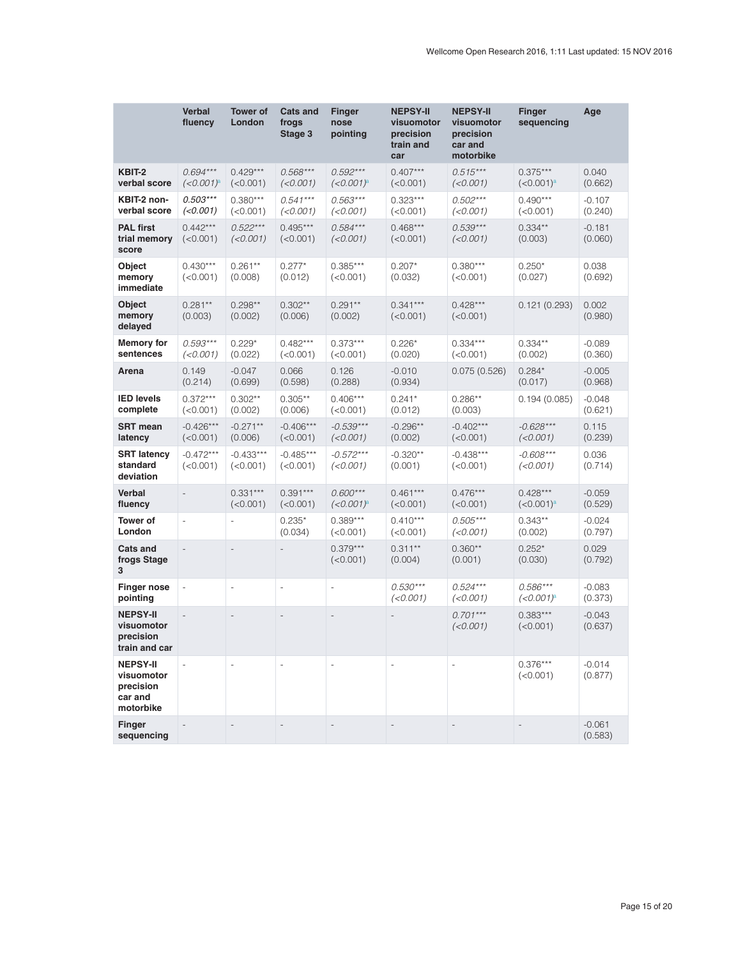|                                                                    | <b>Verbal</b><br>fluency     | <b>Tower of</b><br>London | <b>Cats and</b><br>frogs<br>Stage 3 | Finger<br>nose<br>pointing            | <b>NEPSY-II</b><br>visuomotor<br>precision<br>train and<br>car | <b>NEPSY-II</b><br>visuomotor<br>precision<br>car and<br>motorbike | <b>Finger</b><br>sequencing | Age                 |
|--------------------------------------------------------------------|------------------------------|---------------------------|-------------------------------------|---------------------------------------|----------------------------------------------------------------|--------------------------------------------------------------------|-----------------------------|---------------------|
| KBIT-2<br>verbal score                                             | $0.694***$<br>$(<0.001)^a$   | $0.429***$<br>(<0.001)    | $0.568***$<br>(<0.001)              | $0.592***$<br>$(<0.001)^a$            | $0.407***$<br>(<0.001)                                         | $0.515***$<br>(<0.001)                                             | $0.375***$<br>$(<0.001)^a$  | 0.040<br>(0.662)    |
| KBIT-2 non-<br>verbal score                                        | $0.503***$<br>(<0.001)       | $0.380***$<br>(<0.001)    | $0.541***$<br>(<0.001)              | $0.563***$<br>(<0.001)                | $0.323***$<br>(<0.001)                                         | $0.502***$<br>(<0.001)                                             | $0.490***$<br>(<0.001)      | $-0.107$<br>(0.240) |
| <b>PAL first</b><br>trial memory<br>score                          | $0.442***$<br>(<0.001)       | $0.522***$<br>(<0.001)    | $0.495***$<br>(<0.001)              | $0.584***$<br>(<0.001)                | $0.468***$<br>(<0.001)                                         | $0.539***$<br>(<0.001)                                             | $0.334**$<br>(0.003)        | $-0.181$<br>(0.060) |
| Object<br>memory<br>immediate                                      | $0.430***$<br>(<0.001)       | $0.261***$<br>(0.008)     | $0.277*$<br>(0.012)                 | $0.385***$<br>(<0.001)                | $0.207*$<br>(0.032)                                            | $0.380***$<br>(<0.001)                                             | $0.250*$<br>(0.027)         | 0.038<br>(0.692)    |
| Object<br>memory<br>delayed                                        | $0.281**$<br>(0.003)         | $0.298**$<br>(0.002)      | $0.302**$<br>(0.006)                | $0.291**$<br>(0.002)                  | $0.341***$<br>(<0.001)                                         | $0.428***$<br>(<0.001)                                             | 0.121 (0.293)               | 0.002<br>(0.980)    |
| <b>Memory for</b><br>sentences                                     | $0.593***$<br>(<0.001)       | $0.229*$<br>(0.022)       | $0.482***$<br>(<0.001)              | $0.373***$<br>(<0.001)                | $0.226*$<br>(0.020)                                            | $0.334***$<br>(<0.001)                                             | $0.334**$<br>(0.002)        | $-0.089$<br>(0.360) |
| Arena                                                              | 0.149<br>(0.214)             | $-0.047$<br>(0.699)       | 0.066<br>(0.598)                    | 0.126<br>(0.288)                      | $-0.010$<br>(0.934)                                            | 0.075(0.526)                                                       | $0.284*$<br>(0.017)         | $-0.005$<br>(0.968) |
| <b>IED levels</b><br>complete                                      | $0.372***$<br>(<0.001)       | $0.302**$<br>(0.002)      | $0.305**$<br>(0.006)                | $0.406***$<br>(<0.001)                | $0.241*$<br>(0.012)                                            | $0.286**$<br>(0.003)                                               | 0.194 (0.085)               | $-0.048$<br>(0.621) |
| <b>SRT</b> mean<br>latency                                         | $-0.426***$<br>(<0.001)      | $-0.271**$<br>(0.006)     | $-0.406***$<br>(<0.001)             | $-0.539***$<br>(<0.001)               | $-0.296**$<br>(0.002)                                          | $-0.402***$<br>(<0.001)                                            | $-0.628***$<br>(<0.001)     | 0.115<br>(0.239)    |
| <b>SRT latency</b><br>standard<br>deviation                        | $-0.472***$<br>(<0.001)      | $-0.433***$<br>(<0.001)   | $-0.485***$<br>(<0.001)             | $-0.572***$<br>(<0.001)               | $-0.320**$<br>(0.001)                                          | $-0.438***$<br>(<0.001)                                            | $-0.608***$<br>(<0.001)     | 0.036<br>(0.714)    |
| Verbal<br>fluency                                                  |                              | $0.331***$<br>(<0.001)    | $0.391***$<br>(<0.001)              | $0.600***$<br>$(<0.001)$ <sup>a</sup> | $0.461***$<br>(<0.001)                                         | $0.476***$<br>(<0.001)                                             | $0.428***$<br>$(<0.001)^a$  | $-0.059$<br>(0.529) |
| <b>Tower of</b><br>London                                          | $\overline{\phantom{m}}$     | $\overline{\phantom{m}}$  | $0.235*$<br>(0.034)                 | $0.389***$<br>(<0.001)                | $0.410***$<br>(<0.001)                                         | $0.505***$<br>(<0.001)                                             | $0.343**$<br>(0.002)        | $-0.024$<br>(0.797) |
| <b>Cats and</b><br>frogs Stage<br>3                                | $\qquad \qquad \blacksquare$ |                           |                                     | $0.379***$<br>(<0.001)                | $0.311***$<br>(0.004)                                          | $0.360**$<br>(0.001)                                               | $0.252*$<br>(0.030)         | 0.029<br>(0.792)    |
| <b>Finger nose</b><br>pointing                                     | $\overline{\phantom{a}}$     | $\overline{\phantom{m}}$  | $\overline{\phantom{m}}$            | $\frac{1}{2}$                         | $0.530***$<br>(<0.001)                                         | $0.524***$<br>(<0.001)                                             | $0.586***$<br>$(<0.001)^a$  | $-0.083$<br>(0.373) |
| <b>NEPSY-II</b><br>visuomotor<br>precision<br>train and car        |                              |                           | $\overline{\phantom{a}}$            | $\qquad \qquad -$                     |                                                                | $0.701***$<br>(<0.001)                                             | $0.383***$<br>(<0.001)      | $-0.043$<br>(0.637) |
| <b>NEPSY-II</b><br>visuomotor<br>precision<br>car and<br>motorbike |                              |                           |                                     |                                       |                                                                |                                                                    | $0.376***$<br>(<0.001)      | $-0.014$<br>(0.877) |
| Finger<br>sequencing                                               |                              |                           |                                     |                                       |                                                                |                                                                    |                             | $-0.061$<br>(0.583) |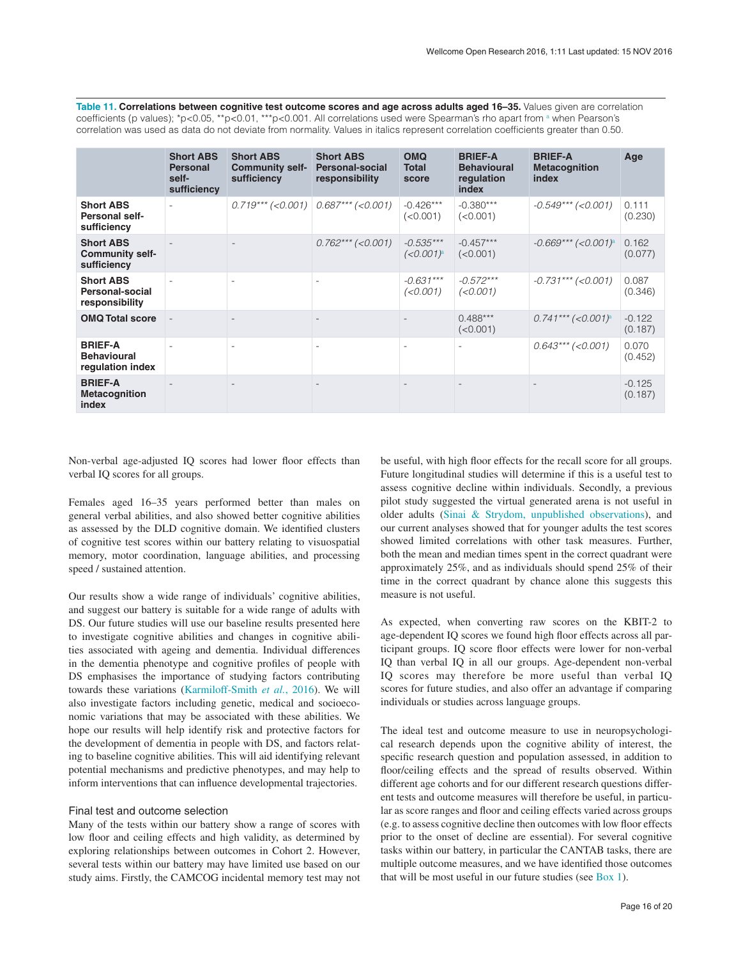<span id="page-15-0"></span>Table 11. Correlations between cognitive test outcome scores and age across adults aged 16-35. Values given are correlation coefficients (p values); \*p<0.05, \*\*p<0.01, \*\*\*p<0.001. All correlations used were Spearman's rho apart from <sup>a</sup> when Pearson's correlation was used as data do not deviate from normality. Values in italics represent correlation coefficients greater than 0.50.

|                                                           | <b>Short ABS</b><br><b>Personal</b><br>self-<br>sufficiency | <b>Short ABS</b><br><b>Community self-</b><br>sufficiency | <b>Short ABS</b><br><b>Personal-social</b><br>responsibility | <b>OMQ</b><br><b>Total</b><br>score    | <b>BRIEF-A</b><br><b>Behavioural</b><br>regulation<br>index | <b>BRIEF-A</b><br><b>Metacognition</b><br>index | Age                 |
|-----------------------------------------------------------|-------------------------------------------------------------|-----------------------------------------------------------|--------------------------------------------------------------|----------------------------------------|-------------------------------------------------------------|-------------------------------------------------|---------------------|
| <b>Short ABS</b><br><b>Personal self-</b><br>sufficiency  |                                                             |                                                           | $0.719***$ (<0.001) $0.687***$ (<0.001)                      | $-0.426***$<br>(< 0.001)               | $-0.380***$<br>(<0.001)                                     | $-0.549***$ (<0.001)                            | 0.111<br>(0.230)    |
| <b>Short ABS</b><br><b>Community self-</b><br>sufficiency |                                                             |                                                           | $0.762***$ (<0.001)                                          | $-0.535***$<br>$(<0.001)$ <sup>a</sup> | $-0.457***$<br>(<0.001)                                     | $-0.669***$ (<0.001) <sup>a</sup>               | 0.162<br>(0.077)    |
| <b>Short ABS</b><br>Personal-social<br>responsibility     |                                                             |                                                           |                                                              | $-0.631***$<br>(<0.001)                | $-0.572***$<br>(<0.001)                                     | $-0.731***$ (<0.001)                            | 0.087<br>(0.346)    |
| <b>OMQ Total score</b>                                    | $\overline{\phantom{a}}$                                    |                                                           |                                                              |                                        | $0.488***$<br>(<0.001)                                      | $0.741***$ (<0.001) <sup>a</sup>                | $-0.122$<br>(0.187) |
| <b>BRIEF-A</b><br><b>Behavioural</b><br>regulation index  |                                                             |                                                           |                                                              |                                        |                                                             | $0.643***$ (<0.001)                             | 0.070<br>(0.452)    |
| <b>BRIEF-A</b><br><b>Metacognition</b><br>index           |                                                             |                                                           |                                                              |                                        |                                                             |                                                 | $-0.125$<br>(0.187) |

Non-verbal age-adjusted IQ scores had lower floor effects than verbal IQ scores for all groups.

Females aged 16–35 years performed better than males on general verbal abilities, and also showed better cognitive abilities as assessed by the DLD cognitive domain. We identified clusters of cognitive test scores within our battery relating to visuospatial memory, motor coordination, language abilities, and processing speed / sustained attention.

Our results show a wide range of individuals' cognitive abilities, and suggest our battery is suitable for a wide range of adults with DS. Our future studies will use our baseline results presented here to investigate cognitive abilities and changes in cognitive abilities associated with ageing and dementia. Individual differences in the dementia phenotype and cognitive profiles of people with DS emphasises the importance of studying factors contributing towards these variations ([Karmiloff-Smith](#page-18-0) *et al.*, 2016). We will also investigate factors including genetic, medical and socioeconomic variations that may be associated with these abilities. We hope our results will help identify risk and protective factors for the development of dementia in people with DS, and factors relating to baseline cognitive abilities. This will aid identifying relevant potential mechanisms and predictive phenotypes, and may help to inform interventions that can influence developmental trajectories.

# Final test and outcome selection

Many of the tests within our battery show a range of scores with low floor and ceiling effects and high validity, as determined by exploring relationships between outcomes in Cohort 2. However, several tests within our battery may have limited use based on our study aims. Firstly, the CAMCOG incidental memory test may not be useful, with high floor effects for the recall score for all groups. Future longitudinal studies will determine if this is a useful test to assess cognitive decline within individuals. Secondly, a previous pilot study suggested the virtual generated arena is not useful in older adults ([Sinai & Strydom, unpublished observations\)](#page-19-0), and our current analyses showed that for younger adults the test scores showed limited correlations with other task measures. Further, both the mean and median times spent in the correct quadrant were approximately 25%, and as individuals should spend 25% of their time in the correct quadrant by chance alone this suggests this measure is not useful.

As expected, when converting raw scores on the KBIT-2 to age-dependent IQ scores we found high floor effects across all participant groups. IQ score floor effects were lower for non-verbal IQ than verbal IQ in all our groups. Age-dependent non-verbal IQ scores may therefore be more useful than verbal IQ scores for future studies, and also offer an advantage if comparing individuals or studies across language groups.

The ideal test and outcome measure to use in neuropsychological research depends upon the cognitive ability of interest, the specific research question and population assessed, in addition to floor/ceiling effects and the spread of results observed. Within different age cohorts and for our different research questions different tests and outcome measures will therefore be useful, in particular as score ranges and floor and ceiling effects varied across groups (e.g. to assess cognitive decline then outcomes with low floor effects prior to the onset of decline are essential). For several cognitive tasks within our battery, in particular the CANTAB tasks, there are multiple outcome measures, and we have identified those outcomes that will be most useful in our future studies (see [Box 1](#page-16-0)).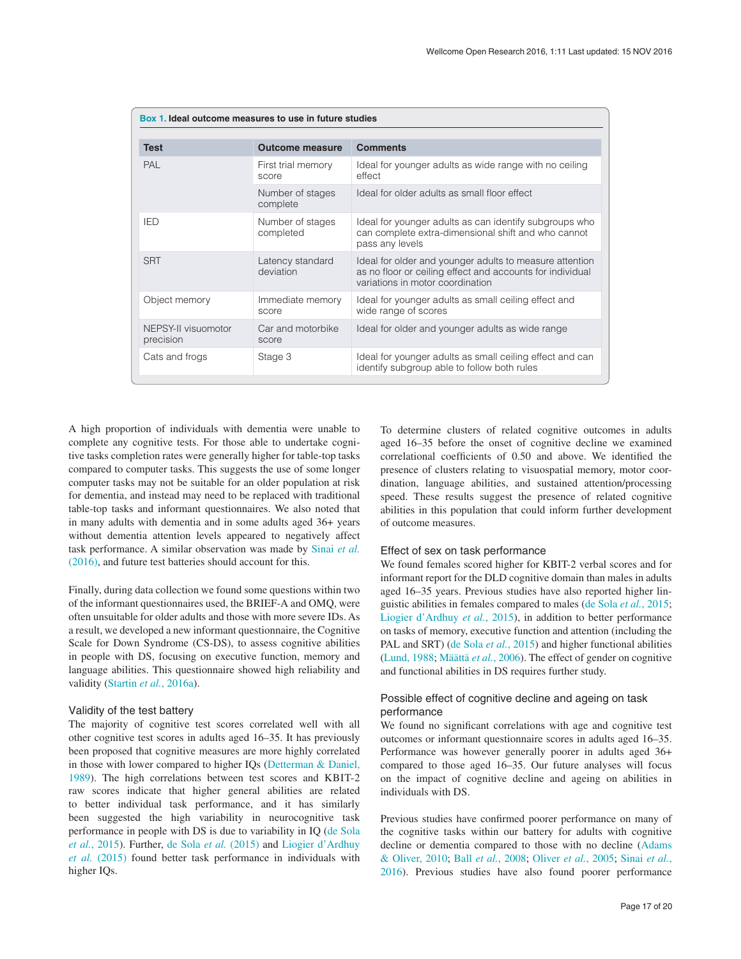<span id="page-16-0"></span>

| Box 1. Ideal outcome measures to use in future studies |                               |                                                                                                                                                          |  |  |  |  |  |
|--------------------------------------------------------|-------------------------------|----------------------------------------------------------------------------------------------------------------------------------------------------------|--|--|--|--|--|
|                                                        |                               |                                                                                                                                                          |  |  |  |  |  |
| <b>Test</b>                                            | <b>Outcome measure</b>        | <b>Comments</b>                                                                                                                                          |  |  |  |  |  |
| PAL                                                    | First trial memory<br>score   | Ideal for younger adults as wide range with no ceiling<br>effect                                                                                         |  |  |  |  |  |
|                                                        | Number of stages<br>complete  | Ideal for older adults as small floor effect                                                                                                             |  |  |  |  |  |
| <b>IED</b>                                             | Number of stages<br>completed | Ideal for younger adults as can identify subgroups who<br>can complete extra-dimensional shift and who cannot<br>pass any levels                         |  |  |  |  |  |
| <b>SRT</b>                                             | Latency standard<br>deviation | Ideal for older and younger adults to measure attention<br>as no floor or ceiling effect and accounts for individual<br>variations in motor coordination |  |  |  |  |  |
| Object memory                                          | Immediate memory<br>score     | Ideal for younger adults as small ceiling effect and<br>wide range of scores                                                                             |  |  |  |  |  |
| NEPSY-II visuomotor<br>precision                       | Car and motorbike<br>score    | Ideal for older and younger adults as wide range                                                                                                         |  |  |  |  |  |
| Cats and frogs                                         | Stage 3                       | Ideal for younger adults as small ceiling effect and can<br>identify subgroup able to follow both rules                                                  |  |  |  |  |  |

A high proportion of individuals with dementia were unable to complete any cognitive tests. For those able to undertake cognitive tasks completion rates were generally higher for table-top tasks compared to computer tasks. This suggests the use of some longer computer tasks may not be suitable for an older population at risk for dementia, and instead may need to be replaced with traditional table-top tasks and informant questionnaires. We also noted that in many adults with dementia and in some adults aged 36+ years without dementia attention levels appeared to negatively affect task performance. A similar observation was made by [Sinai](#page-19-0) *et al.* [\(2016\),](#page-19-0) and future test batteries should account for this.

Finally, during data collection we found some questions within two of the informant questionnaires used, the BRIEF-A and OMQ, were often unsuitable for older adults and those with more severe IDs. As a result, we developed a new informant questionnaire, the Cognitive Scale for Down Syndrome (CS-DS), to assess cognitive abilities in people with DS, focusing on executive function, memory and language abilities. This questionnaire showed high reliability and validity (Startin *et al.*[, 2016a\)](#page-19-0).

# Validity of the test battery

The majority of cognitive test scores correlated well with all other cognitive test scores in adults aged 16–35. It has previously been proposed that cognitive measures are more highly correlated in those with lower compared to higher IQs [\(Detterman & Daniel,](#page-19-0)  [1989\)](#page-18-0). The high correlations between test scores and KBIT-2 raw scores indicate that higher general abilities are related to better individual task performance, and it has similarly been suggested the high variability in neurocognitive task performance in people with DS is due to variability in IQ ([de Sola](#page-18-0)  *et al.*[, 2015\)](#page-18-0). Further, [de Sola](#page-18-0) *et al.* (2015) and [Liogier d'Ardhuy](#page-18-0)  *et al.* [\(2015\)](#page-18-0) found better task performance in individuals with higher IQs.

To determine clusters of related cognitive outcomes in adults aged 16–35 before the onset of cognitive decline we examined correlational coefficients of 0.50 and above. We identified the presence of clusters relating to visuospatial memory, motor coordination, language abilities, and sustained attention/processing speed. These results suggest the presence of related cognitive abilities in this population that could inform further development of outcome measures.

# Effect of sex on task performance

We found females scored higher for KBIT-2 verbal scores and for informant report for the DLD cognitive domain than males in adults aged 16–35 years. Previous studies have also reported higher linguistic abilities in females compared to males ([de Sola](#page-18-0) *et al.*, 2015; [Liogier d'Ardhuy](#page-18-0) *et al.*, 2015), in addition to better performance on tasks of memory, executive function and attention (including the PAL and SRT) [\(de Sola](#page-18-0) *et al.*, 2015) and higher functional abilities [\(Lund, 1988;](#page-18-0) Määttä *et al.*[, 2006](#page-18-0)). The effect of gender on cognitive and functional abilities in DS requires further study.

# Possible effect of cognitive decline and ageing on task performance

We found no significant correlations with age and cognitive test outcomes or informant questionnaire scores in adults aged 16–35. Performance was however generally poorer in adults aged 36+ compared to those aged 16–35. Our future analyses will focus on the impact of cognitive decline and ageing on abilities in individuals with DS.

Previous studies have confirmed poorer performance on many of the cognitive tasks within our battery for adults with cognitive decline or dementia compared to those with no decline ([Adams](#page-18-0) [& Oliver, 2010;](#page-18-0) Ball *et al.*[, 2008;](#page-18-0) [Oliver](#page-19-0) *et al.*, 2005; [Sinai](#page-19-0) *et al.*, [2016](#page-19-0)). Previous studies have also found poorer performance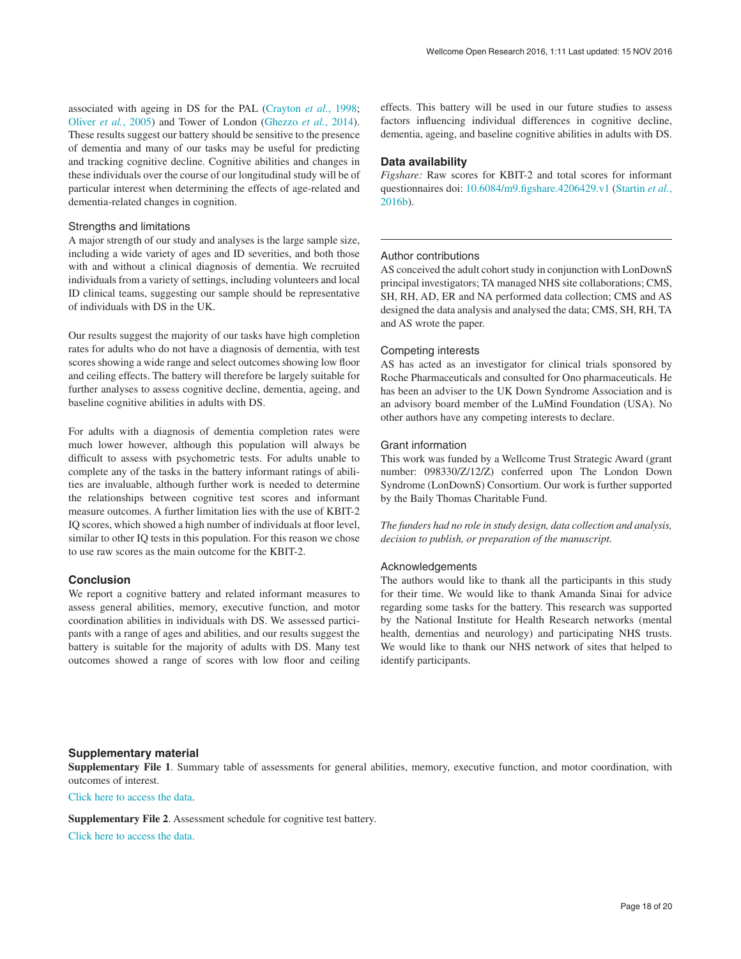<span id="page-17-0"></span>associated with ageing in DS for the PAL ([Crayton](#page-18-0) *et al.*, 1998; [Oliver](#page-19-0) *et al.*, 2005) and Tower of London ([Ghezzo](#page-18-0) *et al.*, 2014). These results suggest our battery should be sensitive to the presence of dementia and many of our tasks may be useful for predicting and tracking cognitive decline. Cognitive abilities and changes in these individuals over the course of our longitudinal study will be of particular interest when determining the effects of age-related and dementia-related changes in cognition.

# Strengths and limitations

A major strength of our study and analyses is the large sample size, including a wide variety of ages and ID severities, and both those with and without a clinical diagnosis of dementia. We recruited individuals from a variety of settings, including volunteers and local ID clinical teams, suggesting our sample should be representative of individuals with DS in the UK.

Our results suggest the majority of our tasks have high completion rates for adults who do not have a diagnosis of dementia, with test scores showing a wide range and select outcomes showing low floor and ceiling effects. The battery will therefore be largely suitable for further analyses to assess cognitive decline, dementia, ageing, and baseline cognitive abilities in adults with DS.

For adults with a diagnosis of dementia completion rates were much lower however, although this population will always be difficult to assess with psychometric tests. For adults unable to complete any of the tasks in the battery informant ratings of abilities are invaluable, although further work is needed to determine the relationships between cognitive test scores and informant measure outcomes. A further limitation lies with the use of KBIT-2 IQ scores, which showed a high number of individuals at floor level, similar to other IQ tests in this population. For this reason we chose to use raw scores as the main outcome for the KBIT-2.

# **Conclusion**

We report a cognitive battery and related informant measures to assess general abilities, memory, executive function, and motor coordination abilities in individuals with DS. We assessed participants with a range of ages and abilities, and our results suggest the battery is suitable for the majority of adults with DS. Many test outcomes showed a range of scores with low floor and ceiling

effects. This battery will be used in our future studies to assess factors influencing individual differences in cognitive decline, dementia, ageing, and baseline cognitive abilities in adults with DS.

# **Data availability**

*Figshare:* Raw scores for KBIT-2 and total scores for informant questionnaires doi: [10.6084/m9.figshare.4206429.v1](http://dx.doi.org/10.6084/m9.figshare.4206429.v1) [\(Startin](#page-19-0) *et al.*, [2016b](#page-19-0)).

# Author contributions

AS conceived the adult cohort study in conjunction with LonDownS principal investigators; TA managed NHS site collaborations; CMS, SH, RH, AD, ER and NA performed data collection; CMS and AS designed the data analysis and analysed the data; CMS, SH, RH, TA and AS wrote the paper.

### Competing interests

AS has acted as an investigator for clinical trials sponsored by Roche Pharmaceuticals and consulted for Ono pharmaceuticals. He has been an adviser to the UK Down Syndrome Association and is an advisory board member of the LuMind Foundation (USA). No other authors have any competing interests to declare.

# Grant information

This work was funded by a Wellcome Trust Strategic Award (grant number: 098330/Z/12/Z) conferred upon The London Down Syndrome (LonDownS) Consortium. Our work is further supported by the Baily Thomas Charitable Fund.

*The funders had no role in study design, data collection and analysis, decision to publish, or preparation of the manuscript.*

# Acknowledgements

The authors would like to thank all the participants in this study for their time. We would like to thank Amanda Sinai for advice regarding some tasks for the battery. This research was supported by the National Institute for Health Research networks (mental health, dementias and neurology) and participating NHS trusts. We would like to thank our NHS network of sites that helped to identify participants.

# **Supplementary material**

**Supplementary File 1**. Summary table of assessments for general abilities, memory, executive function, and motor coordination, with outcomes of interest.

[Click here to access the data.](https://wellcomeopenresearch.s3.amazonaws.com/supplementary/9961/292b132f-0c4d-42c2-9d32-7c2ed36f9415.pdf)

**Supplementary File 2**. Assessment schedule for cognitive test battery.

[Click here to access the data.](https://wellcomeopenresearch.s3.amazonaws.com/supplementary/9961/bfa127f4-cb8c-4c81-8967-95238558c7aa.pdf)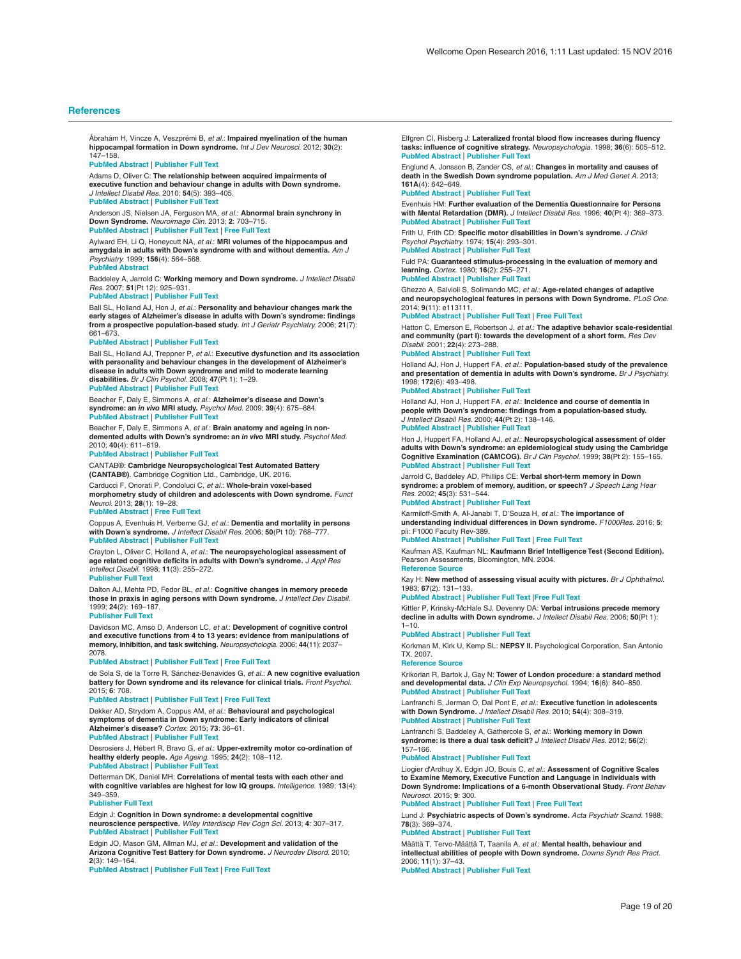<span id="page-18-0"></span>Ábrahám H, Vincze A, Veszprémi B, *et al.*: **Impaired myelination of the human hippocampal formation in Down syndrome.** *Int J Dev Neurosci.* 2012; **30**(2): 147–158.

#### **[PubMed Abstract](http://www.ncbi.nlm.nih.gov/pubmed/22155002)** | **[Publisher Full Text](http://dx.doi.org/10.1016/j.ijdevneu.2011.11.005)**

Adams D, Oliver C: **The relationship between acquired impairments of executive function and behaviour change in adults with Down syndrome.** *J Intellect Disabil Res.* 2010; **54**(5): 393–405. **[PubMed Abstract](http://www.ncbi.nlm.nih.gov/pubmed/20367747)** | **[Publisher Full Text](http://dx.doi.org/10.1111/j.1365-2788.2010.01271.x)**

Anderson JS, Nielsen JA, Ferguson MA, *et al.*: **Abnormal brain synchrony in Down Syndrome.** *Neuroimage Clin.* 2013; **2**: 703–715.

**[PubMed Abstract](http://www.ncbi.nlm.nih.gov/pubmed/24179822)** | **[Publisher Full Text](http://dx.doi.org/10.1016/j.nicl.2013.05.006)** | **[Free Full Text](http://www.ncbi.nlm.nih.gov/pmc/articles/3778249)**

Aylward EH, Li Q, Honeycutt NA, *et al.*: **MRI volumes of the hippocampus and amygdala in adults with Down's syndrome with and without dementia.** *Am J Psychiatry.* 1999; **156**(4): 564–568.

# **[PubMed Abstract](http://www.ncbi.nlm.nih.gov/pubmed/10200735)**

Baddeley A, Jarrold C: **Working memory and Down syndrome.** *J Intellect Disabil Res.* 2007; **51**(Pt 12): 925–931.

#### **[PubMed Abstract](http://www.ncbi.nlm.nih.gov/pubmed/17990999)** | **[Publisher Full Text](http://dx.doi.org/10.1111/j.1365-2788.2007.00979.x)**

Ball SL, Holland AJ, Hon J, *et al.*: **Personality and behaviour changes mark the early stages of Alzheimer's disease in adults with Down's syndrome: findings from a prospective population-based study.** *Int J Geriatr Psychiatry.* 2006; **21**(7): 661–673.

#### **[PubMed Abstract](http://www.ncbi.nlm.nih.gov/pubmed/16802281)** | **[Publisher Full Text](http://dx.doi.org/10.1002/gps.1545)**

Ball SL, Holland AJ, Treppner P, *et al.*: **Executive dysfunction and its association with personality and behaviour changes in the development of Alzheimer's disease in adults with Down syndrome and mild to moderate learning disabilities.** *Br J Clin Psychol.* 2008; **47**(Pt 1): 1–29.

#### **[PubMed Abstract](http://www.ncbi.nlm.nih.gov/pubmed/17681112)** | **[Publisher Full Text](http://dx.doi.org/10.1348/014466507X230967)**

Beacher F, Daly E, Simmons A, *et al.*: **Alzheimer's disease and Down's syndrome: an** *in vivo* **MRI study.** *Psychol Med.* 2009; **39**(4): 675–684. **[PubMed Abstract](http://www.ncbi.nlm.nih.gov/pubmed/18667098)** | **[Publisher Full Text](http://dx.doi.org/10.1017/S0033291708004054)**

Beacher F, Daly E, Simmons A, *et al.*: **Brain anatomy and ageing in nondemented adults with Down's syndrome: an** *in vivo* **MRI study.** *Psychol Med.* 2010; **40**(4): 611–619.

#### **[PubMed Abstract](http://www.ncbi.nlm.nih.gov/pubmed/19671216)** | **[Publisher Full Text](http://dx.doi.org/10.1017/S0033291709990985)**

CANTAB®: **Cambridge Neuropsychological Test Automated Battery (CANTAB®)**. Cambridge Cognition Ltd., Cambridge, UK. 2016.

Carducci F, Onorati P, Condoluci C, *et al.*: **Whole-brain voxel-based morphometry study of children and adolescents with Down syndrome.** *Funct Neurol.* 2013; **28**(1): 19–28.

**[PubMed Abstract](http://www.ncbi.nlm.nih.gov/pubmed/23731912)** | **[Free Full Text](http://www.ncbi.nlm.nih.gov/pmc/articles/3812718)**

Coppus A, Evenhuis H, Verberne GJ, *et al.*: **Dementia and mortality in persons with Down's syndrome.** *J Intellect Disabil Res.* 2006; **50**(Pt 10): 768–777. **[PubMed Abstract](http://www.ncbi.nlm.nih.gov/pubmed/16961706)** | **[Publisher Full Text](http://dx.doi.org/10.1111/j.1365-2788.2006.00842.x)**

Crayton L, Oliver C, Holland A, *et al.*: **The neuropsychological assessment of age related cognitive deficits in adults with Down's syndrome.** *J Appl Res Intellect Disabil.* 1998; **11**(3): 255–272.

### **[Publisher Full Text](http://dx.doi.org/10.1111/j.1468-3148.1998.tb00066.x)**

Dalton AJ, Mehta PD, Fedor BL, *et al.*: **Cognitive changes in memory precede those in praxis in aging persons with Down syndrome.** *J Intellect Dev Disabil.* 1999; **24**(2): 169–187.

#### **[Publisher Full Text](http://dx.doi.org/10.1080/13668259900033961)**

Davidson MC, Amso D, Anderson LC, *et al.*: **Development of cognitive control and executive functions from 4 to 13 years: evidence from manipulations of memory, inhibition, and task switching.** *Neuropsychologia.* 2006; **44**(11): 2037– 2078.

#### **[PubMed Abstract](http://www.ncbi.nlm.nih.gov/pubmed/16580701)** | **[Publisher Full Text](http://dx.doi.org/10.1016/j.neuropsychologia.2006.02.006)** | **[Free Full Text](http://www.ncbi.nlm.nih.gov/pmc/articles/1513793)**

de Sola S, de la Torre R, Sánchez-Benavides G, *et al.*: **A new cognitive evaluation battery for Down syndrome and its relevance for clinical trials.** *Front Psychol.* 2015; **6**: 708.

#### **[PubMed Abstract](http://www.ncbi.nlm.nih.gov/pubmed/26089807)** | **[Publisher Full Text](http://dx.doi.org/10.3389/fpsyg.2015.00708)** | **[Free Full Text](http://www.ncbi.nlm.nih.gov/pmc/articles/4455308)**

Dekker AD, Strydom A, Coppus AM, *et al.*: **Behavioural and psychological symptoms of dementia in Down syndrome: Early indicators of clinical Alzheimer's disease?** *Cortex.* 2015; **73**: 36–61.

#### **[PubMed Abstract](http://www.ncbi.nlm.nih.gov/pubmed/26343344)** | **[Publisher Full Text](http://dx.doi.org/10.1016/j.cortex.2015.07.032)**

Desrosiers J, Hébert R, Bravo G, *et al.*: **Upper-extremity motor co-ordination of healthy elderly people.** *Age Ageing.* 1995; **24**(2): 108–112. **[PubMed Abstract](http://www.ncbi.nlm.nih.gov/pubmed/7793331)** | **[Publisher Full Text](http://dx.doi.org/10.1093/ageing/24.2.108)**

#### Detterman DK, Daniel MH: **Correlations of mental tests with each other and with cognitive variables are highest for low IQ groups.** *Intelligence.* 1989; **13**(4): 349–359.

#### **[Publisher Full Text](http://dx.doi.org/10.1016/S0160-2896(89)80007-8)**

Edgin J: **Cognition in Down syndrome: a developmental cognitive neuroscience perspective.** *Wiley Interdiscip Rev Cogn Sci.* 2013; **4**: 307–317. **[PubMed Abstract](http://www.ncbi.nlm.nih.gov/pubmed/26304208)** | **[Publisher Full Text](http://dx.doi.org/10.1002/wcs.1221)**

Edgin JO, Mason GM, Allman MJ, *et al.*: **Development and validation of the Arizona Cognitive Test Battery for Down syndrome.** *J Neurodev Disord.* 2010; **2**(3): 149–164.

**[PubMed Abstract](http://www.ncbi.nlm.nih.gov/pubmed/21274406)** | **[Publisher Full Text](http://dx.doi.org/10.1007/s11689-010-9054-3)** | **[Free Full Text](http://www.ncbi.nlm.nih.gov/pmc/articles/3026140)**

Elfgren CI, Risberg J: **Lateralized frontal blood flow increases during fluency tasks: influence of cognitive strategy.** *Neuropsychologia.* 1998; **36**(6): 505–512. **[PubMed Abstract](http://www.ncbi.nlm.nih.gov/pubmed/9705060)** | **[Publisher Full Text](http://dx.doi.org/10.1016/S0028-3932(97)00146-2)**

Englund A, Jonsson B, Zander CS, *et al.*: **Changes in mortality and causes of death in the Swedish Down syndrome population.** *Am J Med Genet A.* 2013; **161A**(4): 642–649.

#### **[PubMed Abstract](http://www.ncbi.nlm.nih.gov/pubmed/23436430)** | **[Publisher Full Text](http://dx.doi.org/10.1002/ajmg.a.35706)**

Evenhuis HM: **Further evaluation of the Dementia Questionnaire for Persons with Mental Retardation (DMR).** *J Intellect Disabil Res.* 1996; **40**(Pt 4): 369–373. **[PubMed Abstract](http://www.ncbi.nlm.nih.gov/pubmed/8884592)** | **[Publisher Full Text](http://dx.doi.org/10.1046/j.1365-2788.1996.786786.x)**

Frith U, Frith CD: **Specific motor disabilities in Down's syndrome.** *J Child Psychol Psychiatry.* 1974; **15**(4): 293–301.

**[PubMed Abstract](http://www.ncbi.nlm.nih.gov/pubmed/4282089)** | **[Publisher Full Text](http://dx.doi.org/10.1111/j.1469-7610.1974.tb01253.x)**

Fuld PA: **Guaranteed stimulus-processing in the evaluation of memory and learning.** *Cortex.* 1980; **16**(2): 255–271. **[PubMed Abstract](http://www.ncbi.nlm.nih.gov/pubmed/7471766)** | **[Publisher Full Text](http://dx.doi.org/10.1016/S0010-9452(80)80061-X)**

Ghezzo A, Salvioli S, Solimando MC, *et al.*: **Age-related changes of adaptive and neuropsychological features in persons with Down Syndrome.** *PLoS One.* 2014; **9**(11): e113111.

# **[PubMed Abstract](http://www.ncbi.nlm.nih.gov/pubmed/25419980)** | **[Publisher Full Text](http://dx.doi.org/10.1371/journal.pone.0113111)** | **[Free Full Text](http://www.ncbi.nlm.nih.gov/pmc/articles/4242614)**

Hatton C, Emerson E, Robertson J, *et al.*: **The adaptive behavior scale-residential and community (part I): towards the development of a short form.** *Res Dev Disabil.* 2001; **22**(4): 273–288.

#### **[PubMed Abstract](http://www.ncbi.nlm.nih.gov/pubmed/11523952)** | **[Publisher Full Text](http://dx.doi.org/10.1016/S0891-4222(01)00072-5)**

Holland AJ, Hon J, Huppert FA, *et al.*: **Population-based study of the prevalence and presentation of dementia in adults with Down's syndrome.** *Br J Psychiatry.* 1998; **172**(6): 493–498.

# **[PubMed Abstract](http://www.ncbi.nlm.nih.gov/pubmed/9828989)** | **[Publisher Full Text](http://dx.doi.org/10.1192/bjp.172.6.493)**

Holland AJ, Hon J, Huppert FA, *et al.*: **Incidence and course of dementia in people with Down's syndrome: findings from a population-based study.** *J Intellect Disabil Res.* 2000; **44**(Pt 2): 138–146. **[PubMed Abstract](http://www.ncbi.nlm.nih.gov/pubmed/10898377)** | **[Publisher Full Text](http://dx.doi.org/10.1046/j.1365-2788.2000.00263.x)**

Hon J, Huppert FA, Holland AJ, *et al.*: **Neuropsychological assessment of older adults with Down's syndrome: an epidemiological study using the Cambridge Cognitive Examination (CAMCOG).** *Br J Clin Psychol.* 1999; **38**(Pt 2): 155–165. **[PubMed Abstract](http://www.ncbi.nlm.nih.gov/pubmed/10389597)** | **[Publisher Full Text](http://dx.doi.org/10.1348/014466599162719)**

# Jarrold C, Baddeley AD, Phillips CE: **Verbal short-term memory in Down syndrome: a problem of memory, audition, or speech?** *J Speech Lang Hear Res.* 2002; **45**(3): 531–544. **[PubMed Abstract](http://www.ncbi.nlm.nih.gov/pubmed/12069005)** | **[Publisher Full Text](http://dx.doi.org/10.1044/1092-4388(2002/042))**

Karmiloff-Smith A, Al-Janabi T, D'Souza H, *et al.*: **The importance of understanding individual differences in Down syndrome.** *F1000Res.* 2016; **5**: pii: F1000 Faculty Rev-389.

**[PubMed Abstract](http://www.ncbi.nlm.nih.gov/pubmed/27019699)** | **[Publisher Full Text](http://dx.doi.org/10.12688/f1000research.7506.1)** | **[Free Full Text](http://www.ncbi.nlm.nih.gov/pmc/articles/PMC4806704)**

#### Kaufman AS, Kaufman NL: **Kaufmann Brief Intelligence Test (Second Edition).** Pearson Assessments, Bloomington, MN. 2004.

#### **[Reference Source](http://myweb.facstaff.wwu.edu/graham7/kbit.pdf)**

Kay H: **New method of assessing visual acuity with pictures.** *Br J Ophthalmol.* 1983; **67**(2): 131–133.

**[PubMed Abstract](http://www.ncbi.nlm.nih.gov/pubmed/6821677)** | **[Publisher Full Text](http://dx.doi.org/10.1136/bjo.67.2.131)** |**[Free Full Text](http://www.ncbi.nlm.nih.gov/pmc/articles/PMC1039982)** Kittler P, Krinsky-McHale SJ, Devenny DA: **Verbal intrusions precede memory** 

**decline in adults with Down syndrome.** *J Intellect Disabil Res.* 2006; **50**(Pt 1):  $1 - 10.$ 

#### **[PubMed Abstract](http://www.ncbi.nlm.nih.gov/pubmed/16316425)** | **[Publisher Full Text](http://dx.doi.org/10.1111/j.1365-2788.2005.00715.x)**

Korkman M, Kirk U, Kemp SL: **NEPSY II.** Psychological Corporation, San Antonio TX. 2007.

#### **[Reference Source](https://scholar.google.com/citations?view_op=view_citation&hl=en&user=FZ6Z3XMAAAAJ&citation_for_view=FZ6Z3XMAAAAJ:d1gkVwhDpl0C)**

Krikorian R, Bartok J, Gay N: **Tower of London procedure: a standard method and developmental data.** *J Clin Exp Neuropsychol.* 1994; **16**(6): 840–850. **[PubMed Abstract](http://www.ncbi.nlm.nih.gov/pubmed/7890819)** | **[Publisher Full Text](http://dx.doi.org/10.1080/01688639408402697)**

Lanfranchi S, Jerman O, Dal Pont E, *et al.*: **Executive function in adolescents with Down Syndrome.** *J Intellect Disabil Res.* 2010; **54**(4): 308–319. **[PubMed Abstract](http://www.ncbi.nlm.nih.gov/pubmed/20202074)** | **[Publisher Full Text](http://dx.doi.org/10.1111/j.1365-2788.2010.01262.x)**

Lanfranchi S, Baddeley A, Gathercole S, *et al.*: **Working memory in Down syndrome: is there a dual task deficit?** *J Intellect Disabil Res.* 2012; **56**(2): 157–166.

### **[PubMed Abstract](http://www.ncbi.nlm.nih.gov/pubmed/21726323)** | **[Publisher Full Text](http://dx.doi.org/10.1111/j.1365-2788.2011.01444.x)**

Liogier d'Ardhuy X, Edgin JO, Bouis C, *et al.*: **Assessment of Cognitive Scales to Examine Memory, Executive Function and Language in Individuals with Down Syndrome: Implications of a 6-month Observational Study.** *Front Behav Neurosci.* 2015; **9**: 300.

# **[PubMed Abstract](http://www.ncbi.nlm.nih.gov/pubmed/26635554)** | **[Publisher Full Text](http://dx.doi.org/10.3389/fnbeh.2015.00300)** | **[Free Full Text](http://www.ncbi.nlm.nih.gov/pmc/articles/4650711)**

Lund J: **Psychiatric aspects of Down's syndrome.** *Acta Psychiatr Scand.* 1988; **78**(3): 369–374.

# **[PubMed Abstract](http://www.ncbi.nlm.nih.gov/pubmed/2973726)** | **[Publisher Full Text](http://dx.doi.org/10.1111/j.1600-0447.1988.tb06350.x)**

Määttä T, Tervo-Määttä T, Taanila A, *et al.*: **Mental health, behaviour and intellectual abilities of people with Down syndrome.** *Downs Syndr Res Pract.* 2006; **11**(1): 37–43. **[PubMed Abstract](http://www.ncbi.nlm.nih.gov/pubmed/17048808)** | **[Publisher Full Text](http://dx.doi.org/10.3104/reports.313)**